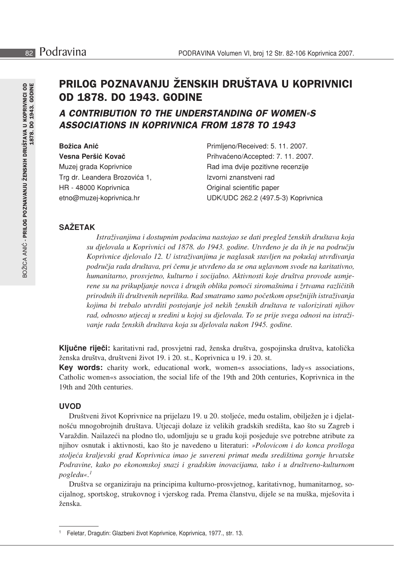# PRILOG POZNAVANJU ŽENSKIH DRUŠTAVA U KOPRIVNICI **0D 1878, DO 1943, GODINE**

# A CONTRIBUTION TO THE UNDERSTANDING OF WOMEN«S **ASSOCIATIONS IN KOPRIVNICA FROM 1878 TO 1943**

| <b>Božica Anić</b>            | Primljeno/Received: 5. 11. 2007.   |
|-------------------------------|------------------------------------|
| Vesna Peršić Kovač            | Prihvaćeno/Accepted: 7. 11. 2007.  |
| Muzej grada Koprivnice        | Rad ima dvije pozitivne recenzije  |
| Trg dr. Leandera Brozovića 1, | Izvorni znanstveni rad             |
| HR - 48000 Koprivnica         | Original scientific paper          |
| etno@muzej-koprivnica.hr      | UDK/UDC 262.2 (497.5-3) Koprivnica |

# **SAŽETAK**

Istraživanjima i dostupnim podacima nastojao se dati pregled ženskih društava koja su dielovala u Koprivnici od 1878. do 1943. godine. Utvrđeno je da ih je na području Koprivnice djelovalo 12. U istraživanjima je naglasak stavljen na pokušaj utvrđivanja područja rada društava, pri čemu je utvrđeno da se ona uglavnom svode na karitativno, humanitarno, prosvjetno, kulturno i socijalno. Aktivnosti koje društva provode usmjerene su na prikupljanje novca i drugih oblika pomoći siromašnima i žrtvama različitih prirodnih ili društvenih neprilika. Rad smatramo samo početkom opsežnijih istraživanja kojima bi trebalo utvrditi postojanje još nekih ženskih društava te valorizirati njihov rad, odnosno utjecaj u sredini u kojoj su djelovala. To se prije svega odnosi na istraživanje rada ženskih društava koja su djelovala nakon 1945. godine.

Ključne riječi: karitativni rad, prosvjetni rad, ženska društva, gospojinska društva, katolička ženska društva, društveni život 19. i 20. st., Koprivnica u 19. i 20. st.

**Key words:** charity work, educational work, women«s associations, lady«s associations, Catholic women«s association, the social life of the 19th and 20th centuries, Koprivnica in the 19th and 20th centuries

# **UVOD**

Društveni život Koprivnice na prijelazu 19. u 20. stoljeće, među ostalim, obilježen je i djelatnošću mnogobrojnih društava. Utjecaji dolaze iz velikih gradskih središta, kao što su Zagreb i Varaždin. Nailazeći na plodno tlo, udomljuju se u gradu koji posjeduje sve potrebne atribute za njihov osnutak i aktivnosti, kao što je navedeno u literaturi: »Polovicom i do konca prošloga stoljeća kraljevski grad Koprivnica imao je suvereni primat među središtima gornje hrvatske Podravine, kako po ekonomskoj snazi i gradskim inovacijama, tako i u društveno-kulturnom pogledu«.<sup>1</sup>

Društva se organiziraju na principima kulturno-prosvjetnog, karitativnog, humanitarnog, socijalnog, sportskog, strukovnog i vjerskog rada. Prema članstvu, dijele se na muška, mješovita i ženska.

<sup>&</sup>lt;sup>1</sup> Feletar, Dragutin: Glazbeni život Koprivnice, Koprivnica, 1977., str. 13.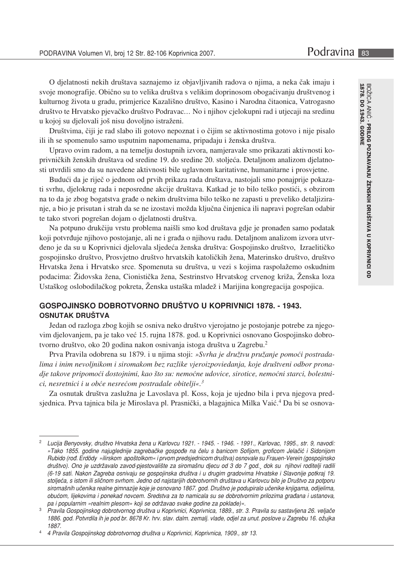O djelatnosti nekih društava saznajemo iz objavljivanih radova o njima, a neka čak imaju i svoje monografije. Obično su to velika društva s velikim doprinosom obogaćivanju društvenog i kulturnog života u gradu, primjerice Kazališno društvo, Kasino i Narodna čitaonica, Vatrogasno društvo te Hrvatsko pjevačko društvo Podravac... No i njihov cjelokupni rad i utjecaji na sredinu u kojoj su djelovali još nisu dovoljno istraženi.

Društvima, čiji je rad slabo ili gotovo nepoznat i o čijim se aktivnostima gotovo i nije pisalo ili ih se spomenulo samo usputnim napomenama, pripadaju i ženska društva.

Upravo ovim radom, a na temelju dostupnih izvora, namjeravale smo prikazati aktivnosti koprivničkih ženskih društava od sredine 19. do sredine 20. stoljeća. Detaljnom analizom djelatno- $\delta$  sti utvrdili smo da su navedene aktivnosti bile uglavnom karitativne, humanitarne i prosvjetne.

Budući da je riječ o jednom od prvih prikaza rada društava, nastojali smo ponajprije pokazati svrhu, djelokrug rada i neposredne akcije društava. Katkad je to bilo teško postići, s obzirom na to da je zbog bogatstva građe o nekim društvima bilo teško ne zapasti u preveliko detaljiziranje, a bio je prisutan i strah da se ne izostavi možda ključna činjenica ili napravi pogrešan odabir te tako stvori pogrešan dojam o djelatnosti društva.

Na potpuno drukčiju vrstu problema naišli smo kod društava gdje je pronađen samo podatak  $k$ i potvrđuje njihovo postojanje, ali ne i građa o njihovu radu. Detaljnom analizom izvora utvrđeno je da su u Koprivnici djelovala sljedeća ženska društva: Gospojinsko društvo, Izraelitičko gospojinsko društvo, Prosvjetno društvo hrvatskih katoličkih žena, Materinsko društvo, društvo Hrvatska žena i Hrvatsko srce. Spomenuta su društva, u vezi s kojima raspolažemo oskudnim podacima: Zidovska žena, Cionistička žena, Sestrinstvo Hrvatskog crvenog križa, Zenska loza Ustaškog oslobodilačkog pokreta, Zenska ustaška mladež i Marijina kongregacija gospojica.

# GOSPOJINSKO DOBROTVORNO DRUŠTVO U KOPRIVNICI 1878. - 1943. **OSNUTAK DRUŠTVA**

Jedan od razloga zbog kojih se osniva neko društvo vjerojatno je postojanje potrebe za njegovim djelovanjem, pa je tako već 15. rujna 1878. god. u Koprivnici osnovano Gospojinsko dobrotvorno društvo, oko 20 godina nakon osnivanja istoga društva u Zagrebu.<sup>2</sup>

Prva Pravila odobrena su 1879. i u njima stoji: »Svrha je družtvu pružanje pomoći postradalima i inim nevoljnikom i siromakom bez razlike vjeroizpoviedanja, koje društveni odbor pronadje takove pripomoći dostojnimi, kao što su: nemoćne udovice, sirotice, nemoćni starci, bolestnici, nesretnici i u obće nesrećom postradale obitelji«.<sup>3</sup>

Za osnutak društva zaslužna je Lavoslava pl. Koss, koja je ujedno bila i prva njegova predsjednica. Prva tajnica bila je Miroslava pl. Prasnički, a blagajnica Milka Vaić.<sup>4</sup> Da bi se osnova-

Lucija Benyovsky, društvo Hrvatska žena u Karlovcu 1921. - 1945. - 1946. - 1991., Karlovac, 1995., str. 9, navodi: »Tako 1855. godine najuglednije zagrebačke gospođe na čelu s banicom Sofijom, groficom Jelačić i Sidonijom *Rubido (rođ. Erdödy »ilirskom apoštolkom« i prvom predsjednicom društva) osnovale su Frauen-Verein (gospojinsko* društvo). Ono je uzdržavalo zavod-pjestovalište za siromašnu djecu od 3 do 7 god., dok su njihovi roditelji radili  $/6$ -19 sati. Nakon Zagreba osnivaju se gospojinska društva i u drugim gradovima Hrvatske i Slavonije potkraj 19. stoljeća, s istom ili sličnom svrhom. Jedno od najstarijih dobrotvornih društava u Karlovcu bilo je Društvo za potporu siromašnih učenika realne gimnazije koje je osnovano 1867. god. Društvo je podupiralo učenike knjigama, odijelima, obućom, lijekovima i ponekad novcem. Sredstva za to namicala su se dobrotvornim prilozima građana i ustanova, pa *i popularnim »realnim plesom» koji se održavao svake godine za poklade*)«.

<sup>&</sup>lt;sup>3</sup> Pravila Gospojinskog dobrotvornog društva u Koprivnici, Koprivnica, 1889., str. 3. Pravila su sastavljena 26. veljače 1886. god. Potvrdila ih je pod br. 8678 Kr. hrv. slav. dalm. zemalj. vlade, odjel za unut. poslove u Zagrebu 16. ožujka *&--,#*

<sup>4</sup> Pravila Gospojinskog dobrotvornog društva u Koprivnici, Koprivnica, 1909., str 13.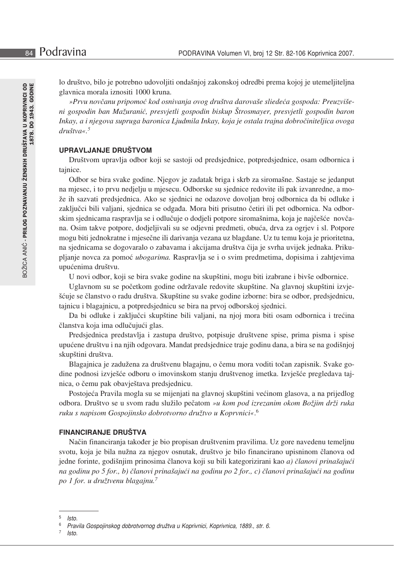lo društvo, bilo je potrebno udovoljiti ondašnjoj zakonskoj odredbi prema kojoj je utemeljiteljna glavnica morala iznositi 1000 kruna.

»Prvu novčanu pripomoć kod osnivanja ovog društva darovaše sliedeća gospoda: Preuzvišeni gospodin ban Mažuranić, presvjetli gospodin biskup Štrosmayer, presvjetli gospodin baron Inkay, a i njegova supruga baronica Ljudmila Inkay, koja je ostala trajna dobročiniteljica ovoga  $dru\check{s}t\forall a \times 0.5$ 

# UPRAVLJANJE DRUŠTVOM

Društvom upravlja odbor koji se sastoji od predsjednice, potpredsjednice, osam odbornica i tajnice.

Odbor se bira svake godine. Njegov je zadatak briga i skrb za siromašne. Sastaje se jedanput na mjesec, i to prvu nedjelju u mjesecu. Odborske su sjednice redovite ili pak izvanredne, a može ih sazvati predsjednica. Ako se sjednici ne odazove dovoljan broj odbornica da bi odluke i zaključci bili valjani, sjednica se odgađa. Mora biti prisutno četiri ili pet odbornica. Na odborskim sjednicama raspravlja se i odlučuje o dodjeli potpore siromašnima, koja je najčešće novčana. Osim takve potpore, dodjeljivali su se odjevni predmeti, obuća, drva za ogrjev i sl. Potpore mogu biti jednokratne i mjesečne ili darivanja vezana uz blagdane. Uz tu temu koja je prioritetna, na sjednicama se dogovaralo o zabavama i akcijama društva čija je svrha uvijek jednaka. Prikuplianie novca za pomoć *ubogarima*. Raspravlja se i o svim predmetima, dopisima i zahtjevima upućenima društvu.

U novi odbor, koji se bira svake godine na skupštini, mogu biti izabrane i bivše odbornice.

Uglavnom su se početkom godine održavale redovite skupštine. Na glavnoj skupštini izvješćuje se članstvo o radu društva. Skupštine su svake godine izborne: bira se odbor, predsjednicu, tajnicu i blagajnicu, a potpredsjednicu se bira na prvoj odborskoj sjednici.

Da bi odluke i zaključci skupštine bili valjani, na njoj mora biti osam odbornica i trećina članstva koja ima odlučujući glas.

Predsjednica predstavlja i zastupa društvo, potpisuje društvene spise, prima pisma i spise upućene društvu i na njih odgovara. Mandat predsjednice traje godinu dana, a bira se na godišnjoj skupštini društva.

Blagajnica je zadužena za društvenu blagajnu, o čemu mora voditi točan zapisnik. Svake godine podnosi izvješće odboru o imovinskom stanju društvenog imetka. Izvješće pregledava tajnica, o čemu pak obavještava predsjednicu.

Postojeća Pravila mogla su se mijenjati na glavnoj skupštini većinom glasova, a na prijedlog odbora. Društvo se u svom radu služilo pečatom »u kom pod izrezanim okom Božjim drži ruka ruku s napisom Gospojinsko dobrotvorno družtvo u Koprvnici«.<sup>6</sup>

## **FINANCIRANJE DRUŠTVA**

Način financiranja također je bio propisan društvenim pravilima. Uz gore navedenu temeljnu svotu, koja je bila nužna za njegov osnutak, društvo je bilo financirano upisninom članova od jedne forinte, godišnjim prinosima članova koji su bili kategorizirani kao a) članovi prinašajući na godinu po 5 for., b) članovi prinašajući na godinu po 2 for., c) članovi prinašajući na godinu po 1 for. u družtvenu blagajnu.<sup>7</sup>

<sup>5</sup> Isto.

<sup>6</sup> Pravila Gospojinskog dobrotvornog družtva u Koprivnici, Koprivnica, 1889., str. 6.

<sup>7</sup> Isto.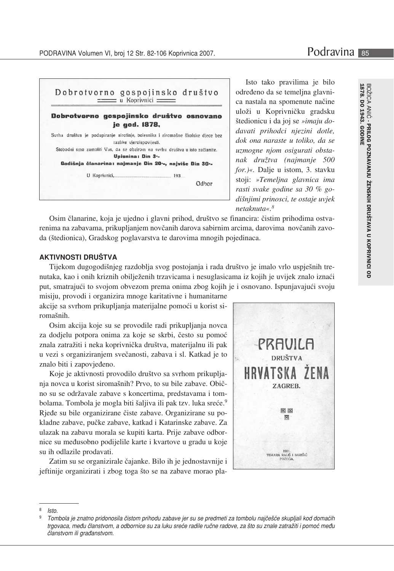



Isto tako pravilima je bilo određeno da se temelina glavnica nastala na spomenute načine uloži u Koprivničku gradsku štedionicu i da joj se »imaju dodavati prihodci njezini dotle, dok ona naraste u toliko, da se uzmogne njom osigurati obstanak družtva (najmanje 500 for.)«. Dalje u istom, 3. stavku stoji: »Temeljna glavnica ima rasti svake godine sa 30 % godišnjimi prinosci, te ostaje uvjek netaknuta«. $8$ 

Osim članarine, koja je ujedno i glavni prihod, društvo se financira: čistim prihodima ostvarenima na zabavama, prikupljanjem novčanih darova sabirnim arcima, darovima novčanih zavoda (štedionica), Gradskog poglavarstva te darovima mnogih pojedinaca.

#### **AKTIVNOSTI DRUŠTVA**

Tijekom dugogodišnjeg razdoblja svog postojanja i rada društvo je imalo vrlo uspješnih trenutaka, kao i onih kriznih obilježenih trzavicama i nesuglasicama iz kojih je uvijek znalo iznaći put, smatrajući to svojom obvezom prema onima zbog kojih je i osnovano. Ispunjavajući svoju

misiju, provodi i organizira mnoge karitativne i humanitarne akcije sa svrhom prikupljanja materijalne pomoći u korist siromašnih.

Osim akcija koje su se provodile radi prikupljanja novca za dodjelu potpora onima za koje se skrbi, često su pomoć znala zatražiti i neka koprivnička društva, materijalnu ili pak u vezi s organiziranjem svečanosti, zabava i sl. Katkad je to znalo biti i zapovjeđeno.

Koje je aktivnosti provodilo društvo sa svrhom prikupljanja novca u korist siromašnih? Prvo, to su bile zabave. Obično su se održavale zabave s koncertima, predstavama i tombolama. Tombola je mogla biti šaljiva ili pak tzv. luka sreće.<sup>9</sup> Riede su bile organizirane čiste zabave. Organizirane su pokladne zabave, pučke zabave, katkad i Katarinske zabave. Za ulazak na zabavu morala se kupiti karta. Prije zabave odbornice su međusobno podijelile karte i kvartove u gradu u koje su ih odlazile prodavati.

Zatim su se organizirale čajanke. Bilo ih je jednostavnije i jeftinije organizirati i zbog toga što se na zabave morao pla-



<sup>8</sup> Isto.

<sup>9</sup> Tombola je znatno pridonosila čistom prihodu zabave jer su se predmeti za tombolu najčešće skupljali kod domaćih trgovaca, među članstvom, a odbornice su za luku sreće radile ručne radove, za što su znale zatražiti i pomoć među članstvom ili građanstvom.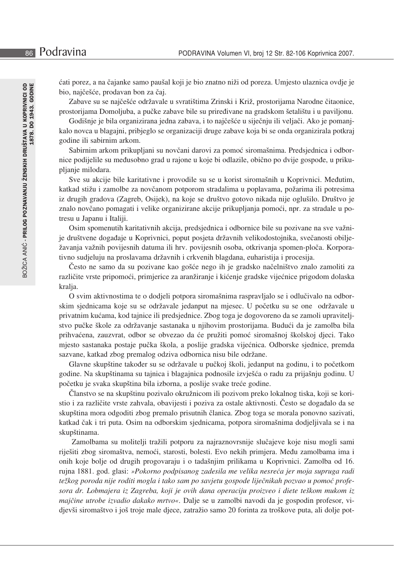ćati porez, a na čajanke samo paušal koji je bio znatno niži od poreza. Umjesto ulaznica ovdje je bio, naičešće, prodavan bon za čai.

Zabave su se najčešće održavale u svratištima Zrinski i Križ, prostorijama Narodne čitaonice, prostorijama Domoljuba, a pučke zabave bile su priređivane na gradskom šetalištu i u paviljonu.

Godišnje je bila organizirana jedna zabava, i to najčešće u siječnju ili veljači. Ako je pomanjkalo novca u blagajni, pribjeglo se organizaciji druge zabave koja bi se onda organizirala potkraj godine ili sabirnim arkom.

Sabirnim arkom prikupljani su novčani darovi za pomoć siromašnima. Predsjednica i odbornice podijelile su međusobno grad u rajone u koje bi odlazile, obično po dvije gospođe, u prikupljanje milodara.

Sve su akcije bile karitativne i provodile su se u korist siromašnih u Koprivnici. Međutim, katkad stižu i zamolbe za novčanom potporom stradalima u poplavama, požarima ili potresima  $\mathbf I\mathbf z$  drugih gradova (Zagreb, Osijek), na koje se društvo gotovo nikada nije oglušilo. Društvo je znalo novčano pomagati i velike organizirane akcije prikupljanja pomoći, npr. za stradale u potresu u Japanu i Italiji.

Osim spomenutih karitativnih akcija, predsjednica i odbornice bile su pozivane na sve važnije društvene događaje u Koprivnici, poput posjeta državnih velikodostojnika, svečanosti obilježavanja važnih povijesnih datuma ili hrv. povijesnih osoba, otkrivanja spomen-ploča. Korporativno sudjeluju na proslavama državnih i crkvenih blagdana, euharistija i procesija.

Često ne samo da su pozivane kao gošće nego ih je gradsko načelništvo znalo zamoliti za različite vrste pripomoći, primjerice za aranžiranje i kićenje gradske vijećnice prigodom dolaska kralja.

O svim aktivnostima te o dodjeli potpora siromašnima raspravljalo se i odlučivalo na odborskim sjednicama koje su se održavale jedanput na mjesec. U početku su se one održavale u privatnim kućama, kod tajnice ili predsjednice. Zbog toga je dogovoreno da se zamoli upraviteljstvo pučke škole za održavanje sastanaka u njihovim prostorijama. Budući da je zamolba bila prihvaćena, zauzvrat, odbor se obvezao da će pružiti pomoć siromašnoj školskoj djeci. Tako mjesto sastanaka postaje pučka škola, a poslije gradska vijećnica. Odborske sjednice, premda sazvane, katkad zbog premalog odziva odbornica nisu bile održane.

Glavne skupštine također su se održavale u pučkoj školi, jedanput na godinu, i to početkom godine. Na skupštinama su tajnica i blagajnica podnosile izvješća o radu za prijašnju godinu. U početku je svaka skupština bila izborna, a poslije svake treće godine.

Članstvo se na skupštinu pozivalo okružnicom ili pozivom preko lokalnog tiska, koji se koristio i za različite vrste zahvala, obavijesti i poziva za ostale aktivnosti. Često se događalo da se  $\mu$ skupština mora odgoditi zbog premalo prisutnih članica. Zbog toga se morala ponovno sazivati, katkad čak i tri puta. Osim na odborskim sjednicama, potpora siromašnima dodjeljivala se i na skupštinama.

Zamolbama su molitelji tražili potporu za najraznovrsnije slučajeve koje nisu mogli sami riješiti zbog siromaštva, nemoći, starosti, bolesti. Evo nekih primjera. Među zamolbama ima i onih koje bolje od drugih progovaraju i o tadašnjim prilikama u Koprivnici. Zamolba od 16. rujna 1881. god. glasi: »Pokorno podpisanog zadesila me velika nesreća jer moja supruga radi težkog poroda nije roditi mogla i tako sam po savjetu gospode liječnikah pozvao u pomoć profe*gcfU Xf"@cVaU^YfU]nNU[fYVU \_c^]^Y cj]\ XUbU cdYfUW]^i dfc]njYc] X]YhYhY\_caai\_ca]n majčine utrobe izvadio dakako mrtvo«*. Dalje se u zamolbi navodi da je gospodin profesor, vidjevši siromaštvo i još troje male djece, zatražio samo 20 forinta za troškove puta, ali dolje pot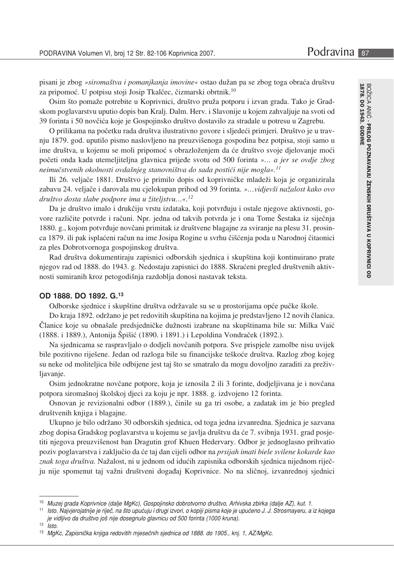pisani je zbog »siromaštva i pomanjkanja imovine« ostao dužan pa se zbog toga obraća društvu za pripomoć. U potpisu stoji Josip Tkalčec, čizmarski obrtnik.<sup>10</sup>

Osim što pomaže potrebite u Koprivnici, društvo pruža potporu i izvan grada. Tako je Gradskom poglavarstvu uputio dopis ban Kralj. Dalm. Herv. i Slavonije u kojem zahvaljuje na svoti od 39 forinta i 50 novčića koje je Gospojinsko društvo dostavilo za stradale u potresu u Zagrebu.

O prilikama na početku rada društva ilustrativno govore i sljedeći primjeri. Društvo je u travnju 1879. god. uputilo pismo naslovljeno na preuzvišenoga gospodina bez potpisa, stoji samo u ime društva, u kojemu se moli pripomoć s obrazloženjem da će društvo svoje djelovanje moći početi onda kada utemeljiteljna glavnica prijeđe svotu od 500 forinta »... a jer se ovdje zbog neimučstvenih okolnosti ovdašnjeg stanovništva do sada postići nije mogla«.<sup>11</sup>

Ili 26. veljače 1881. Društvo je primilo dopis od koprivničke mladeži koja je organizirala zabavu 24. veljače i darovala mu cjelokupan prihod od 39 forinta. »...vidjevši nažalost kako ovo društvo dosta slabe podpore ima u žiteljstvu...«.<sup>12</sup>

Da je društvo imalo i drukčiju vrstu izdataka, koji potvrđuju i ostale njegove aktivnosti, govore različite potvrde i računi. Npr. jedna od takvih potvrda je i ona Tome Šestaka iz siječnja 1880. g., kojom potvrđuje novčani primitak iz društvene blagajne za sviranje na plesu 31. prosinca 1879. ili pak isplaćeni račun na ime Josipa Rogine u svrhu čišćenja poda u Narodnoj čitaonici za ples Dobrotvornoga gospojinskog društva.

Rad društva dokumentiraju zapisnici odborskih sjednica i skupština koji kontinuirano prate njegov rad od 1888. do 1943. g. Nedostaju zapisnici do 1888. Skraćeni pregled društvenih aktivnosti sumiranih kroz petogodišnja razdoblja donosi nastavak teksta.

#### OD 1888. DO 1892. G.13

Odborske sjednice i skupštine društva održavale su se u prostorijama opće pučke škole.

Do kraja 1892. održano je pet redovitih skupština na kojima je predstavljeno 12 novih članica. Članice koje su obnašale predsjedničke dužnosti izabrane na skupštinama bile su: Milka Vaić (1888. i 1889.), Antonija Špišić (1890. i 1891.) i Lepoldina Vondraček (1892.).

Na sjednicama se raspravljalo o dodjeli novčanih potpora. Sve prispjele zamolbe nisu uvijek bile pozitivno riješene. Jedan od razloga bile su financijske teškoće društva. Razlog zbog kojeg su neke od moliteljica bile odbijene jest taj što se smatralo da mogu dovoljno zaraditi za preživljavanje.

Osim jednokratne novčane potpore, koja je iznosila 2 ili 3 forinte, dodjeljivana je i novčana potpora siromašnoj školskoj djeci za koju je npr. 1888. g. izdvojeno 12 forinta.

Osnovan je revizionalni odbor (1889.), činile su ga tri osobe, a zadatak im je bio pregled društvenih knjiga i blagajne.

Ukupno je bilo održano 30 odborskih sjednica, od toga jedna izvanredna. Sjednica je sazvana zbog dopisa Gradskog poglavarstva u kojemu se javlja društvu da će 7. svibnja 1931. grad posjetiti njegova preuzvišenost ban Dragutin grof Khuen Hedervary. Odbor je jednoglasno prihvatio poziv poglavarstva i zaključio da će taj dan cijeli odbor na *prsijah imati biele svilene kokarde kao* znak toga društva. Nažalost, ni u jednom od idućih zapisnika odborskih sjednica nijednom riječju nije spomenut taj važni društveni događaj Koprivnice. No na sličnoj, izvanrednoj sjednici

<sup>10</sup> Muzej grada Koprivnice (dalje MgKc), Gospojinsko dobrotvorno društvo, Arhivska zbirka (dalje AZ), kut. 1.

 $11$ Isto. Najvjerojatnije je riječ, na što upućuju i drugi izvori, o kopiji pisma koje je upućeno J. J. Strosmayeru, a iz kojega je vidljivo da društvo još nije dosegnulo glavnicu od 500 forinta (1000 kruna).

 $12$  $lsto$ 

<sup>13</sup> MgKc, Zapisnička knjiga redovitih mjesečnih sjednica od 1888. do 1905., knj. 1, AZ/MgKc.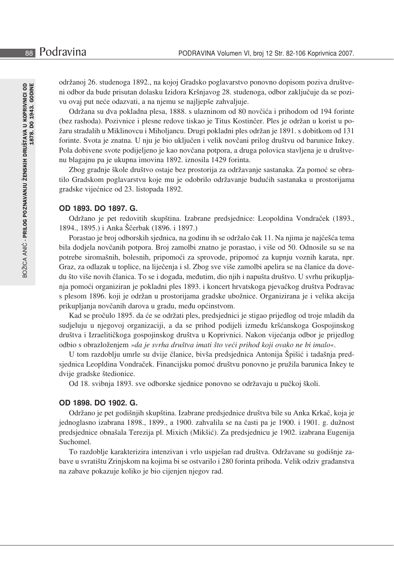održanoj 26. studenoga 1892., na kojoj Gradsko poglavarstvo ponovno dopisom poziva društveni odbor da bude prisutan dolasku Izidora Kršnjavog 28. studenoga, odbor zaključuje da se pozivu ovaj put neće odazvati, a na njemu se najljepše zahvaljuje.

Održana su dva pokladna plesa, 1888. s ulazninom od 80 novčića i prihodom od 194 forinte (bez rashoda). Pozivnice i plesne redove tiskao je Titus Kostinčer. Ples je održan u korist u požaru stradalih u Miklinovcu i Miholjancu. Drugi pokladni ples održan je 1891. s dobitkom od 131 forinte. Svota je znatna. U nju je bio uključen i velik novčani prilog društvu od barunice Inkey. Pola dobivene svote podijeljeno je kao novčana potpora, a druga polovica stavljena je u društvenu blagajnu pa je ukupna imovina 1892. iznosila 1429 forinta.

Zbog gradnje škole društvo ostaje bez prostorija za održavanje sastanaka. Za pomoć se obratilo Gradskom poglavarstvu koje mu je odobrilo održavanje budućih sastanaka u prostorijama gradske vijećnice od 23. listopada 1892.

#### OD 1893, DO 1897, G.

Održano je pet redovitih skupština. Izabrane predsjednice: Leopoldina Vondraček (1893., 1894., 1895.) i Anka Ščerbak (1896. i 1897.)

Porastao je broj odborskih sjednica, na godinu ih se održalo čak 11. Na njima je najčešća tema bila dodjela novčanih potpora. Broj zamolbi znatno je porastao, i više od 50. Odnosile su se na potrebe siromašnih, bolesnih, pripomoći za sprovode, pripomoć za kupnju voznih karata, npr. Graz, za odlazak u toplice, na liječenja i sl. Zbog sve više zamolbi apelira se na članice da dovedu što više novih članica. To se i događa, međutim, dio njih i napušta društvo. U svrhu prikupljanja pomoći organiziran je pokladni ples 1893. i koncert hrvatskoga pjevačkog društva Podravac s plesom 1896. koji je održan u prostorijama gradske ubožnice. Organizirana je i velika akcija prikupljanja novčanih darova u gradu, među općinstvom.

Kad se pročulo 1895. da će se održati ples, predsjednici je stigao prijedlog od troje mladih da sudjeluju u njegovoj organizaciji, a da se prihod podijeli između kršćanskoga Gospojinskog društva i Izraelitičkoga gospojinskog društva u Koprivnici. Nakon vijećanja odbor je prijedlog odbio s obrazloženjem »da je svrha društva imati što veći prihod koji ovako ne bi imalo«.

U tom razdoblju umrle su dvije članice, bivša predsjednica Antonija Špišić i tadašnja predsjednica Leopldina Vondraček. Financijsku pomoć društvu ponovno je pružila barunica Inkey te dvije gradske štedionice.

Od 18. svibnja 1893. sve odborske sjednice ponovno se održavaju u pučkoj školi.

# OD 1898, DO 1902, G.

Održano je pet godišnjih skupština. Izabrane predsjednice društva bile su Anka Krkač, koja je jednoglasno izabrana 1898., 1899., a 1900. zahvalila se na časti pa je 1900. i 1901. g. dužnost predsjednice obnašala Terezija pl. Mixich (Mikšić). Za predsjednicu je 1902. izabrana Eugenija Suchomel.

To razdoblje karakterizira intenzivan i vrlo uspješan rad društva. Održavane su godišnje zabave u svratištu Zrinjskom na kojima bi se ostvarilo i 280 forinta prihoda. Velik odziv građanstva na zabave pokazuje koliko je bio cijenjen njegov rad.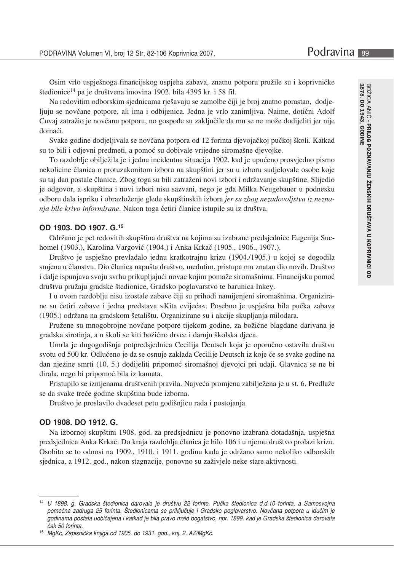Osim vrlo uspješnoga financijskog uspjeha zabava, znatnu potporu pružile su i koprivničke štedionice<sup>14</sup> pa je društvena imovina 1902. bila 4395 kr. i 58 fil.

Na redovitim odborskim sjednicama rješavaju se zamolbe čiji je broj znatno porastao, dodjeljuju se novčane potpore, ali ima i odbijenica. Jedna je vrlo zanimljiva. Naime, dotični Adolf Cuvaj zatražio je novčanu potporu, no gospođe su zaključile da mu se ne može dodijeliti jer nije domaći.

Svake godine dodjeljivala se novčana potpora od 12 forinta djevojačkoj pučkoj školi. Katkad su to bili i odjevni predmeti, a pomoć su dobivale vrijedne siromašne djevojke.

To razdoblje obilježila je i jedna incidentna situacija 1902. kad je upućeno prosvjedno pismo nekolicine članica o protuzakonitom izboru na skupštini jer su u izboru sudjelovale osobe koje su taj dan postale članice. Zbog toga su bili zatraženi novi izbori i održavanje skupštine. Slijedio je odgovor, a skupština i novi izbori nisu sazvani, nego je gđa Milka Neugebauer u podnesku odboru dala ispriku i obrazloženje glede skupštinskih izbora jer su zbog nezadovoljstva iz neznanja bile krivo informirane. Nakon toga četiri članice istupile su iz društva.

# OD 1903. DO 1907. G.15

Održano je pet redovitih skupština društva na kojima su izabrane predsjednice Eugenija Suchomel (1903.), Karolina Vargović (1904.) i Anka Krkač (1905., 1906., 1907.).

Društvo je uspješno prevladalo jednu kratkotrajnu krizu (1904./1905.) u kojoj se dogodila smjena u članstvu. Dio članica napušta društvo, međutim, pristupa mu znatan dio novih. Društvo i dalje ispunjava svoju svrhu prikupljajući novac kojim pomaže siromašnima. Financijsku pomoć društvu pružaju gradske štedionice, Gradsko poglavarstvo te barunica Inkey.

I u ovom razdoblju nisu izostale zabave čiji su prihodi namijenjeni siromašnima. Organizirane su četiri zabave i jedna predstava »Kita cvijeća«. Posebno je uspješna bila pučka zabava (1905.) održana na gradskom šetalištu. Organizirane su i akcije skupljanja milodara.

Pružene su mnogobrojne novčane potpore tijekom godine, za božićne blagdane darivana je gradska sirotinja, a u školi se kiti božićno drvce i daruju školska djeca.

Umrla je dugogodišnja potpredsjednica Cecilija Deutsch koja je oporučno ostavila društvu svotu od 500 kr. Odlučeno je da se osnuje zaklada Cecilije Deutsch iz koje će se svake godine na dan njezine smrti (10. 5.) dodijeliti pripomoć siromašnoj djevojci pri udaji. Glavnica se ne bi dirala, nego bi pripomoć bila iz kamata.

Pristupilo se izmjenama društvenih pravila. Najveća promjena zabilježena je u st. 6. Predlaže se da svake treće godine skupština bude izborna.

Društvo je proslavilo dvadeset petu godišnjicu rada i postojanja.

#### OD 1908. DO 1912. G.

Na izbornoj skupštini 1908. god. za predsjednicu je ponovno izabrana dotadašnja, uspješna predsjednica Anka Krkač. Do kraja razdoblja članica je bilo 106 i u njemu društvo prolazi krizu. Osobito se to odnosi na 1909., 1910. i 1911. godinu kada je održano samo nekoliko odborskih sjednica, a 1912. god., nakon stagnacije, ponovno su zaživjele neke stare aktivnosti.

<sup>14</sup> U 1898. g. Gradska štedionica darovala je društvu 22 forinte, Pučka štedionica d.d.10 forinta, a Samosvojna pomoćna zadruga 25 forinta. Štedionicama se priključuje i Gradsko poglavarstvo. Novčana potpora u idućim je godinama postala uobičajena i katkad je bila pravo malo bogatstvo, npr. 1899. kad je Gradska štedionica darovala čak 50 forinta

<sup>&</sup>lt;sup>15</sup> MgKc, Zapisnička knjiga od 1905. do 1931. god., knj. 2, AZ/MgKc.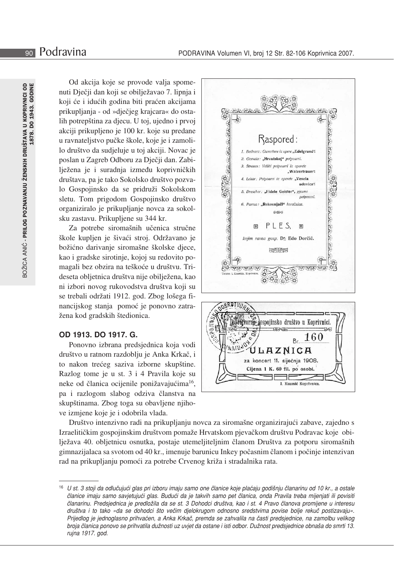Od akcija koje se provode valja spomenuti Dječji dan koji se obilježavao 7. lipnja i koji će i idućih godina biti praćen akcijama prikupljanja - od »dječjeg krajcara« do ostalih potrepština za djecu. U toj, ujedno i prvoj akciji prikupljeno je 100 kr. koje su predane u ravnateljstvo pučke škole, koje je i zamolilo društvo da sudjeluje u toj akciji. Novac je poslan u Zagreb Odboru za Dječji dan. Zabilježena je i suradnja između koprivničkih društava, pa je tako Sokolsko društvo pozvalo Gospojinsko da se pridruži Sokolskom sletu. Tom prigodom Gospojinsko društvo organiziralo je prikupljanje novca za sokolsku zastavu. Prikupljene su 344 kr.

Za potrebe siromašnih učenica stručne škole kupljen je šivaći stroj. Održavano je božićno darivanje siromašne školske djece, kao i gradske sirotinje, kojoj su redovito pomagali bez obzira na teškoće u društvu. Trideseta obljetnica društva nije obilježena, kao ni izbori novog rukovodstva društva koji su se trebali održati 1912. god. Zbog lošega financijskog stanja pomoć je ponovno zatražena kod gradskih štedionica.

# OD 1913. DO 1917. G.

Ponovno izbrana predsjednica koja vodi društvo u ratnom razdoblju je Anka Krkač, i to nakon trećeg saziva izborne skupštine. Razlog tome je u st. 3 i 4 Pravila koje su neke od članica ocijenile ponižavajućima<sup>16</sup>, pa i razlogom slabog odziva članstva na skupštinama. Zbog toga su obavljene njihove izmjene koje je i odobrila vlada.





Društvo intenzivno radi na prikupljanju novca za siromašne organizirajući zabave, zajedno s Izraelitičkim gospojinskim društvom pomaže Hrvatskom pjevačkom društvu Podravac koje obilježava 40. obljetnicu osnutka, postaje utemeljiteljnim članom Društva za potporu siromašnih gimnazijalaca sa svotom od 40 kr., imenuje barunicu Inkey počasnim članom i počinje intenzivan rad na prikupljanju pomoći za potrebe Crvenog križa i stradalnika rata.

<sup>16</sup> U st. 3 stoji da odlučujući glas pri izboru imaju samo one članice koje plaćaju godišnju članarinu od 10 kr., a ostale članice imaju samo savjetujući glas. Budući da je takvih samo pet članica, onda Pravila treba mijenjati ili povisiti članarinu. Predsjednica je predložila da se st. 3 Dohodci društva, kao i st. 4 Pravo članova promijene u interesu društva i to tako »da se dohodci što večim djelokrugom odnosno sredstvima povise bolje rekuč postizavaju«. Prijedlog je jednoglasno prihvaćen, a Anka Krkač, premda se zahvalila na časti predsjednice, na zamolbu velikog broja članica ponovo se prihvatila dužnosti uz uvjet da ostane i isti odbor. Dužnost predsjednice obnaša do smrti 13. rujna 1917. god.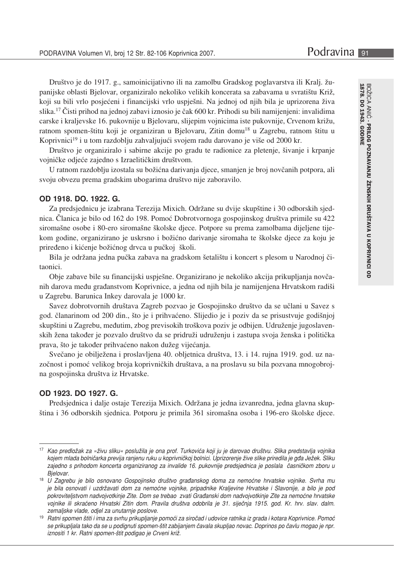Društvo je do 1917. g., samoinicijativno ili na zamolbu Gradskog poglavarstva ili Kralj. županijske oblasti Bielovar, organiziralo nekoliko velikih koncerata sa zabavama u svratištu Križ. koji su bili vrlo posjećeni i financijski vrlo uspješni. Na jednoj od njih bila je uprizorena živa slika.<sup>17</sup> Čisti prihod na jednoj zabavi iznosio je čak 600 kr. Prihodi su bili namijenjeni: invalidima carske i kraljevske 16. pukovnije u Bjelovaru, slijepim vojnicima iste pukovnije, Crvenom križu, ratnom spomen-štitu koji je organiziran u Bjelovaru, Zitin domu<sup>18</sup> u Zagrebu, ratnom štitu u Koprivnici<sup>19</sup> i u tom razdoblju zahvaljujući svojem radu darovano je više od 2000 kr.

Društvo je organiziralo i sabirne akcije po gradu te radionice za pletenje, šivanje i krpanje vojničke odjeće zajedno s Izraelitičkim društvom.

U ratnom razdoblju izostala su božićna darivanja djece, smanjen je broj novčanih potpora, ali svoju obvezu prema gradskim ubogarima društvo nije zaboravilo.

#### OD 1918, DO, 1922, G.

Za predsjednicu je izabrana Terezija Mixich. Održane su dvije skupštine i 30 odborskih sjednica. Članica je bilo od 162 do 198. Pomoć Dobrotvornoga gospojinskog društva primile su 422 siromašne osobe i 80-ero siromašne školske djece. Potpore su prema zamolbama dijeljene tijekom godine, organizirano je uskrsno i božićno darivanje siromaha te školske djece za koju je priređeno i kićenje božićnog drvca u pučkoj školi.

Bila je održana jedna pučka zabava na gradskom šetalištu i koncert s plesom u Narodnoj čitaonici.

Obje zabave bile su financijski uspješne. Organizirano je nekoliko akcija prikupljanja novčanih darova među građanstvom Koprivnice, a jedna od njih bila je namijenjena Hrvatskom radiši u Zagrebu. Barunica Inkey darovala je 1000 kr.

Savez dobrotvornih društava Zagreb pozvao je Gospojinsko društvo da se učlani u Savez s god. članarinom od 200 din., što je i prihvaćeno. Slijedio je i poziv da se prisustvuje godišnjoj skupštini u Zagrebu, međutim, zbog previsokih troškova poziv je odbijen. Udruženje jugoslavenskih žena također je pozvalo društvo da se pridruži udruženju i zastupa svoja ženska i politička prava, što je također prihvaćeno nakon dužeg vijećanja.

Svečano je obilježena i proslavljena 40. obljetnica društva, 13. i 14. rujna 1919. god. uz nazočnost i pomoć velikog broja koprivničkih društava, a na proslavu su bila pozvana mnogobrojna gospojinska društva iz Hrvatske.

## OD 1923, DO 1927, G.

Predsjednica i dalje ostaje Terezija Mixich. Održana je jedna izvanredna, jedna glavna skupština i 36 odborskih sjednica. Potporu je primila 361 siromašna osoba i 196-ero školske djece.

<sup>17</sup> Kao predložak za »živu sliku« poslužila je ona prof. Turkovića koji ju je darovao društvu. Slika predstavlja vojnika kojem mlada bolničarka previja ranjenu ruku u koprivničkoj bolnici. Uprizorenje žive slike priredila je gđa Ježek. Sliku zajedno s prihodom koncerta organiziranog za invalide 16. pukovnije predsjednica je poslala časničkom zboru u Bjelovar.

<sup>&</sup>lt;sup>18</sup> U Zagrebu je bilo osnovano Gospojinsko društvo građanskog doma za nemoćne hrvatske vojnike. Svrha mu je bila osnovati i uzdržavati dom za nemoćne vojnike, pripadnike Kraljevine Hrvatske i Slavonije, a bilo je pod pokroviteljstvom nadvojvotkinje Zite. Dom se trebao zvati Građanski dom nadvojvotkinje Zite za nemoćne hrvatske .<br>vojnike ili skraćeno Hrvatski Zitin dom. Pravila društva odobrila je 31. siječnja 1915. god. Kr. hrv. slav. dalm. zemaljske vlade, odjel za unutarnje poslove.

<sup>&</sup>lt;sup>19</sup> Ratni spomen štiti i ima za svrhu prikupljanje pomoći za siročad i udovice ratnika iz grada i kotara Koprivnice. Pomoć se prikupljala tako da se u podignuti spomen-štit zabijanjem čavala skupljao novac. Doprinos po čavlu mogao je npr. iznositi 1 kr. Ratni spomen-štit podigao je Crveni križ.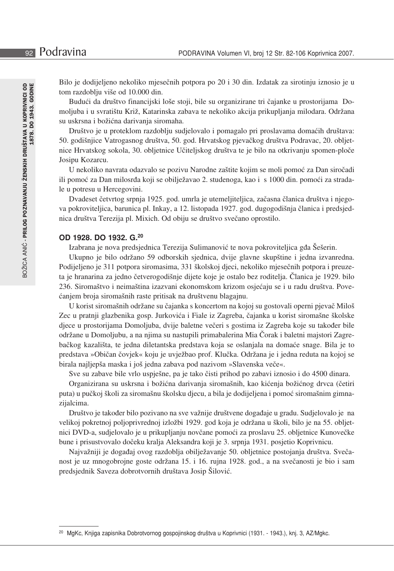Bilo je dodijeljeno nekoliko mjesečnih potpora po 20 i 30 din. Izdatak za sirotinju iznosio je u tom razdoblju više od 10.000 din.

Budući da društvo financijski loše stoji, bile su organizirane tri čajanke u prostorijama Domoljuba i u svratištu Križ, Katarinska zabava te nekoliko akcija prikupljanja milodara. Održana su uskrsna i božićna darivanja siromaha.

Društvo je u proteklom razdoblju sudjelovalo i pomagalo pri proslavama domaćih društava: 50. godišnijice Vatrogasnog društva, 50. god. Hrvatskog pjevačkog društva Podravac, 20. obljetnice Hrvatskog sokola, 30. obljetnice Učiteljskog društva te je bilo na otkrivanju spomen-ploče Josipu Kozarcu.

U nekoliko navrata odazvalo se pozivu Narodne zaštite kojim se moli pomoć za Dan siročadi ili pomoć za Dan milosrđa koji se obilježavao 2. studenoga, kao i s 1000 din. pomoći za stradale u potresu u Hercegovini.

Dvadeset četvrtog srpnja 1925. god. umrla je utemeljiteljica, začasna članica društva i njegova pokroviteljica, barunica pl. Inkay, a 12. listopada 1927. god. dugogodišnja članica i predsjednica društva Terezija pl. Mixich. Od obiju se društvo svečano oprostilo.

#### OD 1928, DO 1932, G.<sup>20</sup>

Izabrana je nova predsjednica Terezija Sulimanović te nova pokroviteljica gđa Šešerin.

Ukupno je bilo održano 59 odborskih sjednica, dvije glavne skupštine i jedna izvanredna. Podijeljeno je 311 potpora siromasima, 331 školskoj djeci, nekoliko mjesečnih potpora i preuzeta je hranarina za jedno četverogodišnje dijete koje je ostalo bez roditelja. Članica je 1929. bilo 236. Siromaštvo i neimaština izazvani ekonomskom krizom osjećaju se i u radu društva. Povećanjem broja siromašnih raste pritisak na društvenu blagajnu.

U korist siromašnih održane su čajanka s koncertom na kojoj su gostovali operni pjevač Miloš Zec u pratnji glazbenika gosp. Jurkovića i Fiale iz Zagreba, čajanka u korist siromašne školske djece u prostorijama Domoljuba, dvije baletne večeri s gostima iz Zagreba koje su također bile održane u Domoljubu, a na njima su nastupili primabalerina Mia Čorak i baletni majstori Zagrebačkog kazališta, te jedna diletantska predstava koja se oslanjala na domaće snage. Bila je to predstava »Običan čovjek« koju je uvježbao prof. Klučka. Održana je i jedna reduta na kojoj se birala najljepša maska i još jedna zabava pod nazivom »Slavenska veče«.

Sve su zabave bile vrlo uspješne, pa je tako čisti prihod po zabavi iznosio i do 4500 dinara.

Organizirana su uskrsna i božićna darivanja siromašnih, kao kićenja božićnog drvca (četiri puta) u pučkoj školi za siromašnu školsku djecu, a bila je dodijeljena i pomoć siromašnim gimnazijalcima.

Društvo je također bilo pozivano na sve važnije društvene događaje u gradu. Sudjelovalo je na velikoj pokretnoj poljoprivrednoj izložbi 1929. god koja je održana u školi, bilo je na 55. obljetnici DVD-a, sudjelovalo je u prikupljanju novčane pomoći za proslavu 25. obljetnice Kunovečke bune i prisustvovalo dočeku kralja Aleksandra koji je 3. srpnja 1931. posjetio Koprivnicu.

Najvažniji je događaj ovog razdoblja obilježavanje 50. obljetnice postojanja društva. Svečanost je uz mnogobrojne goste održana 15. i 16. rujna 1928. god., a na svečanosti je bio i sam predsjednik Saveza dobrotvornih društava Josip Šilović.

<sup>&</sup>lt;sup>20</sup> MgKc, Knjiga zapisnika Dobrotvornog gospojinskog društva u Koprivnici (1931. - 1943.), knj. 3, AZ/Mgkc.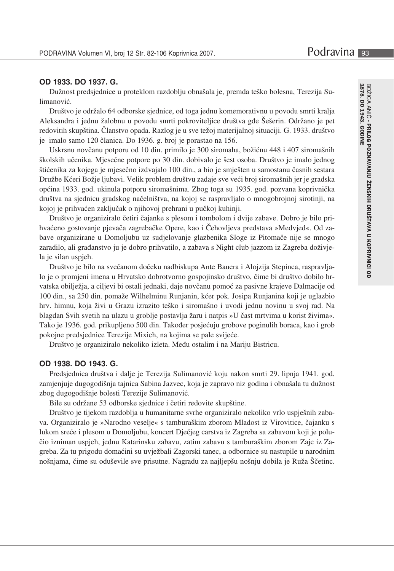# OD 1933, DO 1937, G.

Dužnost predsjednice u proteklom razdoblju obnašala je, premda teško bolesna, Terezija Sulimanović.

Društvo je održalo 64 odborske sjednice, od toga jednu komemorativnu u povodu smrti kralja Aleksandra i jednu žalobnu u povodu smrti pokroviteljice društva gđe Šešerin. Održano je pet redovitih skupština. Članstvo opada. Razlog je u sve težoj materijalnoj situaciji. G. 1933. društvo je imalo samo 120 članica. Do 1936. g. broj je porastao na 156.

Uskrsnu novčanu potporu od 10 din. primilo je 300 siromaha, božićnu 448 i 407 siromašnih školskih učenika. Mjesečne potpore po 30 din. dobivalo je šest osoba. Društvo je imalo jednog štićenika za kojega je mjesečno izdvajalo 100 din., a bio je smješten u samostanu časnih sestara Družbe Kćeri Božje ljubavi. Velik problem društvu zadaje sve veći broj siromašnih jer je gradska općina 1933. god. ukinula potporu siromašnima. Zbog toga su 1935. god. pozvana koprivnička društva na sjednicu gradskog načelništva, na kojoj se raspravljalo o mnogobrojnoj sirotinji, na kojoj je prihvaćen zaključak o njihovoj prehrani u pučkoj kuhinji.

Društvo je organiziralo četiri čajanke s plesom i tombolom i dvije zabave. Dobro je bilo prihvaćeno gostovanje pjevača zagrebačke Opere, kao i Čehovljeva predstava »Medvjed«. Od zabave organizirane u Domoljubu uz sudjelovanje glazbenika Sloge iz Pitomače nije se mnogo zaradilo, ali građanstvo ju je dobro prihvatilo, a zabava s Night club jazzom iz Zagreba doživjela je silan uspjeh.

Društvo je bilo na svečanom dočeku nadbiskupa Ante Bauera i Alojzija Stepinca, raspravljalo je o promjeni imena u Hrvatsko dobrotvorno gospojinsko društvo, čime bi društvo dobilo hrvatska obilježja, a ciljevi bi ostali jednaki, daje novčanu pomoć za pasivne krajeve Dalmacije od 100 din., sa 250 din. pomaže Wilhelminu Runjanin, kćer pok. Josipa Runjanina koji je uglazbio hrv. himnu, koja živi u Grazu izrazito teško i siromašno i uvodi jednu novinu u svoj rad. Na blagdan Svih svetih na ulazu u groblje postavlja žaru i natpis »U čast mrtvima u korist živima«. Tako je 1936. god. prikupljeno 500 din. Također posjećuju grobove poginulih boraca, kao i grob pokojne predsjednice Terezije Mixich, na kojima se pale svijeće.

Društvo je organiziralo nekoliko izleta. Među ostalim i na Mariju Bistricu.

# OD 1938, DO 1943, G.

Predsjednica društva i dalje je Terezija Sulimanović koju nakon smrti 29. lipnja 1941. god. zamjenjuje dugogodišnja tajnica Sabina Jazvec, koja je zapravo niz godina i obnašala tu dužnost zbog dugogodišnje bolesti Terezije Sulimanović.

Bile su održane 53 odborske sjednice i četiri redovite skupštine.

Društvo je tijekom razdoblja u humanitarne svrhe organiziralo nekoliko vrlo uspješnih zabava. Organiziralo je »Narodno veselje« s tamburaškim zborom Mladost iz Virovitice, čajanku s lukom sreće i plesom u Domoljubu, koncert Dječjeg carstva iz Zagreba sa zabavom koji je polučio izniman uspjeh, jednu Katarinsku zabavu, zatim zabavu s tamburaškim zborom Zajc iz Zagreba. Za tu prigodu domaćini su uvježbali Zagorski tanec, a odbornice su nastupile u narodnim nošnjama, čime su oduševile sve prisutne. Nagradu za najljepšu nošnju dobila je Ruža Ščetinc.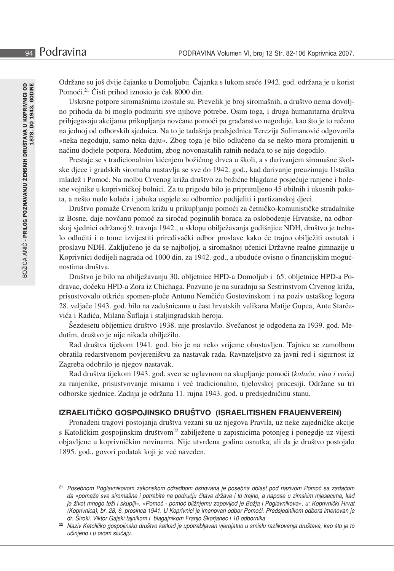Održane su još dvije čajanke u Domoljubu. Čajanka s lukom sreće 1942. god. održana je u korist Pomoći.<sup>21</sup> Čisti prihod iznosio je čak 8000 din.

Uskrsne potpore siromašnima izostale su. Prevelik je broj siromašnih, a društvo nema dovoljno prihoda da bi moglo podmiriti sve njihove potrebe. Osim toga, i druga humanitarna društva pribjegavaju akcijama prikupljanja novčane pomoći pa građanstvo negoduje, kao što je to rečeno na jednoj od odborskih sjednica. Na to je tadašnja predsjednica Terezija Sulimanović odgovorila »neka negoduju, samo neka daju«. Zbog toga je bilo odlučeno da se nešto mora promijeniti u načinu dodjele potpora. Međutim, zbog novonastalih ratnih nedaća to se nije dogodilo.

Prestaje se s tradicionalnim kićenjem božićnog drvca u školi, a s darivanjem siromašne školske djece i gradskih siromaha nastavlja se sve do 1942. god., kad darivanje preuzimaju Ustaška mladež i Pomoć. Na molbu Crvenog križa društvo za božićne blagdane posjećuje ranjene i bolesne vojnike u koprivničkoj bolnici. Za tu prigodu bilo je pripremljeno 45 obilnih i ukusnih paketa, a nešto malo kolača i jabuka uspjele su odbornice podijeliti i partizanskoj djeci.

Društvo pomaže Crvenom križu u prikupljanju pomoći za četničko-komunističke stradalnike iz Bosne, daje novčanu pomoć za siročad poginulih boraca za oslobođenje Hrvatske, na odborskoj sjednici održanoj 9. travnja 1942., u sklopu obilježavanja godišnjice NDH, društvo je trebalo odlučiti i o tome izvijestiti priređivački odbor proslave kako će trajno obilježiti osnutak i proslavu NDH. Zaključeno je da se najboljoj, a siromašnoj učenici Državne realne gimnazije u Koprivnici dodijeli nagrada od 1000 din. za 1942. god., a ubuduće ovisno o financijskim mogućnostima društva.

Društvo je bilo na obilježavanju 30. obljetnice HPD-a Domoljub i 65. obljetnice HPD-a Podravac, dočeku HPD-a Zora iz Chichaga. Pozvano je na suradnju sa Sestrinstvom Crvenog križa, prisustvovalo otkriću spomen-ploče Antunu Nemčiću Gostovinskom i na poziv ustaškog logora 28. veljače 1943. god. bilo na zadušnicama u čast hrvatskih velikana Matije Gupca, Ante Starčevića i Radića, Milana Šuflaja i staljingradskih heroja.

Šezdesetu obljetnicu društvo 1938. nije proslavilo. Svečanost je odgođena za 1939. god. Međutim, društvo je nije nikada obilježilo.

Rad društva tijekom 1941. god. bio je na neko vrijeme obustavljen. Tajnica se zamolbom obratila redarstvenom povjereništvu za nastavak rada. Ravnateljstvo za javni red i sigurnost iz Zagreba odobrilo je njegov nastavak.

Rad društva tijekom 1943. god. sveo se uglavnom na skupljanje pomoći (kolača, vina i voća) za ranjenike, prisustvovanje misama i već tradicionalno, tijelovskoj procesiji. Održane su tri odborske sjednice. Zadnja je održana 11. rujna 1943. god. u predsjedničinu stanu.

## IZRAELITIČKO GOSPOJINSKO DRUŠTVO (ISRAELITISHEN FRAUENVEREIN)

Pronađeni tragovi postojanja društva vezani su uz njegova Pravila, uz neke zajedničke akcije s Katoličkim gospojinskim društvom<sup>22</sup> zabilježene u zapisnicima potonjeg i ponegdje uz vijesti objavljene u koprivničkim novinama. Nije utvrđena godina osnutka, ali da je društvo postojalo 1895. god., govori podatak koji je već naveden.

<sup>&</sup>lt;sup>21</sup> Posebnom Poglavnikovom zakonskom odredbom osnovana je posebna oblast pod nazivom Pomoć sa zadaćom da »pomaže sve siromašne i potrebite na području čitave države i to trajno, a napose u zimskim mjesecima, kad je život mnogo teži i skuplji«. »Pomoć - pomoć bližnjemu zapovijed je Božja i Poglavnikova«, u: Koprivnički Hrvat (Koprivnica), br. 28, 6. prosinca 1941. U Koprivnici je imenovan odbor Pomoći. Predsjednikom odbora imenovan je dr. Široki, Viktor Gajski tajnikom i blagajnikom Franjo Škorjanec i 10 odbornika.

<sup>&</sup>lt;sup>22</sup> Naziv Katoličko gospojinsko društvo katkad je upotrebljavan vjerojatno u smislu razlikovanja društava, kao što je to učinjeno i u ovom slučaju.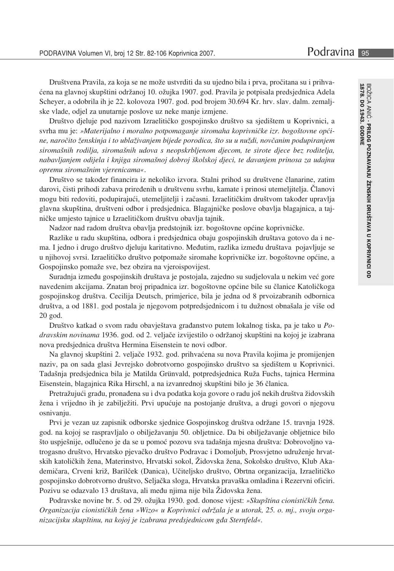Društvena Pravila, za koja se ne može ustvrditi da su ujedno bila i prva, pročitana su i prihvaćena na glavnoj skupštini održanoj 10. ožujka 1907. god. Pravila je potpisala predsjednica Adela Scheyer, a odobrila ih je 22. kolovoza 1907. god. pod brojem 30.694 Kr. hrv. slav. dalm. zemaljske vlade, odjel za unutarnje poslove uz neke manje izmjene.

Društvo djeluje pod nazivom Izraelitičko gospojinsko društvo sa sjedištem u Koprivnici, a svrha mu je: »Materijalno i moralno potpomaganje siromaha koprivničke izr. bogoštovne općine, naročito ženskinja i to ublaživanjem bijede porodica, što su u nuždi, novčanim podupiranjem siromašnih rodilja, siromašnih udova s neopskrbljenom djecom, te sirote djece bez roditelja, nabavljanjem odijela i knjiga siromašnoj dobroj školskoj djeci, te davanjem prinosa za udajnu opremu siromašnim vierenicama«.

Društvo se također financira iz nekoliko izvora. Stalni prihod su društvene članarine, zatim darovi, čisti prihodi zabava priređenih u društvenu svrhu, kamate i prinosi utemeljitelja. Članovi mogu biti redoviti, podupirajući, utemeljitelji i začasni. Izraelitičkim društvom također upravlja glavna skupština, društveni odbor i predsjednica. Blagajničke poslove obavlja blagajnica, a tajničke umjesto tajnice u Izraelitičkom društvu obavlja tajnik.

Nadzor nad radom društva obavlja predstojnik izr. bogoštovne općine koprivničke.

Razlike u radu skupština, odbora i predsjednica obaju gospojinskih društava gotovo da i nema. I jedno i drugo društvo djeluju karitativno. Međutim, razlika između društava pojavljuje se u njihovoj svrsi. Izraelitičko društvo potpomaže siromahe koprivničke izr. bogoštovne općine, a Gospojinsko pomaže sve, bez obzira na vjeroispovijest.

Suradnja između gospojinskih društava je postojala, zajedno su sudjelovala u nekim već gore navedenim akcijama. Znatan broj pripadnica izr. bogoštovne općine bile su članice Katoličkoga gospojinskog društva. Cecilija Deutsch, primjerice, bila je jedna od 8 prvoizabranih odbornica društva, a od 1881. god postala je njegovom potpredsjednicom i tu dužnost obnašala je više od 20 god.

Društvo katkad o svom radu obavještava građanstvo putem lokalnog tiska, pa je tako u Podravskim novinama 1936. god. od 2. veljače izvijestilo o održanoj skupštini na kojoj je izabrana nova predsjednica društva Hermina Eisenstein te novi odbor.

Na glavnoj skupštini 2. veljače 1932. god. prihvaćena su nova Pravila kojima je promijenjen naziv, pa on sada glasi Jevrejsko dobrotvorno gospojinsko društvo sa sjedištem u Koprivnici. Tadašnja predsjednica bila je Matilda Grünvald, potpredsjednica Ruža Fuchs, tajnica Hermina Eisenstein, blagajnica Rika Hirschl, a na izvanrednoj skupštini bilo je 36 članica.

Pretražujući građu, pronađena su i dva podatka koja govore o radu još nekih društva židovskih žena i vrijedno ih je zabilježiti. Prvi upućuje na postojanje društva, a drugi govori o njegovu osnivanju.

Prvi je vezan uz zapisnik odborske sjednice Gospojinskog društva održane 15. travnja 1928. god. na kojoj se raspravljalo o obilježavanju 50. obljetnice. Da bi obilježavanje obljetnice bilo što uspješnije, odlučeno je da se u pomoć pozovu sva tadašnja mjesna društva: Dobrovoljno vatrogasno društvo, Hrvatsko pjevačko društvo Podravac i Domoljub, Prosvjetno udruženje hrvatskih katoličkih žena, Materinstvo, Hrvatski sokol, Židovska žena, Sokolsko društvo, Klub Akademičara, Crveni križ, Barilček (Danica), Učiteljsko društvo, Obrtna organizacija, Izraelitičko gospojinsko dobrotvorno društvo, Seljačka sloga, Hrvatska pravaška omladina i Rezervni oficiri. Pozivu se odazvalo 13 društava, ali među njima nije bila Židovska žena.

Podravske novine br. 5. od 29. ožujka 1930. god. donose vijest: »Skupština cionističkih žena. Organizacija cionističkih žena »Wizo« u Koprivnici održala je u utorak, 25. o. mj., svoju organizacijsku skupštinu, na kojoj je izabrana predsjednicom gđa Sternfeld«.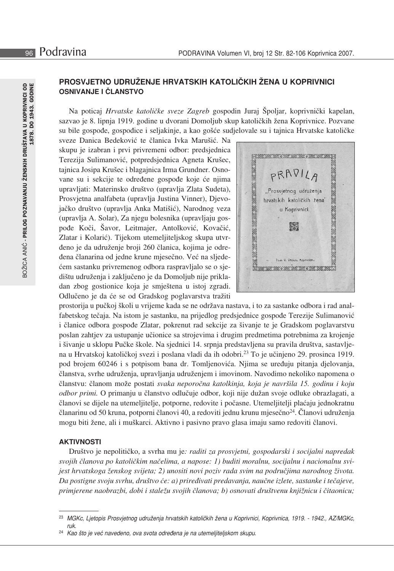# PROSVJETNO UDRUŽENJE HRVATSKIH KATOLIČKIH ŽENA U KOPRIVNICI **OSNIVANJE I ČLANSTVO**

Na poticaj *Hrvatske katoličke sveze Zagreb* gospodin Juraj Špoljar, koprivnički kapelan, sazvao je 8. lipnja 1919. godine u dvorani Domoljub skup katoličkih žena Koprivnice. Pozvane su bile gospođe, gospođice i seljakinje, a kao gošće sudjelovale su i tajnica Hrvatske katoličke

sveze Danica Bedeković te članica Ivka Marušić. Na skupu je izabran i prvi privremeni odbor: predsjednica Terezija Sulimanović, potpredsjednica Agneta Krušec, tajnica Josipa Krušec i blagajnica Irma Grundner. Osnovane su i sekcije te određene gospođe koje će njima upravljati: Materinsko društvo (upravlja Zlata Sudeta), Prosvjetna analfabeta (upravlja Justina Vinner), Djevojačko društvo (upravlja Anka Matišić), Narodnog veza (upravlja A. Solar), Za njegu bolesnika (upravljaju gospođe Koči, Šavor, Leitmajer, Antolković, Kovačić, Zlatar i Kolarić). Tijekom utemeljiteljskog skupa utvrđeno je da udruženje broji 260 članica, kojima je odredena članarina od jedne krune mjesečno. Već na sljedećem sastanku privremenog odbora raspravljalo se o sjedištu udruženja i zaključeno je da Domoljub nije prikladan zbog gostionice koja je smještena u istoj zgradi. Odlučeno je da će se od Gradskog poglavarstva tražiti



prostorija u pučkoj školi u vrijeme kada se ne održava nastava, i to za sastanke odbora i rad analfabetskog tečaja. Na istom je sastanku, na prijedlog predsjednice gospođe Terezije Sulimanović i članice odbora gospođe Zlatar, pokrenut rad sekcije za šivanje te je Gradskom poglavarstvu poslan zahtjev za ustupanje učionice sa strojevima i drugim predmetima potrebnima za krojenje i šivanje u sklopu Pučke škole. Na sjednici 14. srpnja predstavljena su pravila društva, sastavljena u Hrvatskoj katoličkoj svezi i poslana vladi da ih odobri.<sup>23</sup> To je učinjeno 29. prosinca 1919. pod brojem 60246 i s potpisom bana dr. Tomljenovića. Njima se uređuju pitanja djelovanja, članstva, svrhe udruženja, upravljanja udruženjem i imovinom. Navodimo nekoliko napomena o članstvu: članom može postati svaka neporočna katolkinja, koja je navršila 15. godinu i koju odbor primi. O primanju u članstvo odlučuje odbor, koji nije dužan svoje odluke obrazlagati, a članovi se dijele na utemeljitelje, potporne, redovite i počasne. Utemeljitelji plaćaju jednokratnu članarinu od 50 kruna, potporni članovi 40, a redoviti jednu krunu mjesečno<sup>24</sup>. Članovi udruženja mogu biti žene, ali i muškarci. Aktivno i pasivno pravo glasa imaju samo redoviti članovi.

# **AKTIVNOSTI**

Društvo je nepolitičko, a svrha mu je: raditi za prosvjetni, gospodarski i socijalni napredak svojih članova po katoličkim načelima, a napose: 1) buditi moralnu, socijalnu i nacionalnu svijest hrvatskoga ženskog svijeta; 2) unositi novi poziv rada svim na područjima narodnog života. Da postigne svoju svrhu, društvo će: a) priređivati predavanja, naučne izlete, sastanke i tečajeve, primjerene naobrazbi, dobi i staležu svojih članova; b) osnovati društvenu knjižnicu i čitaonicu;

<sup>&</sup>lt;sup>23</sup> MGKc, Ljetopis Prosvjetnog udruženja hrvatskih katoličkih žena u Koprivnici, Koprivnica, 1919. - 1942., AZ/MGKc,  $r_{I}$ 

<sup>24</sup> Kao što je već navedeno, ova svota određena je na utemeljiteljskom skupu.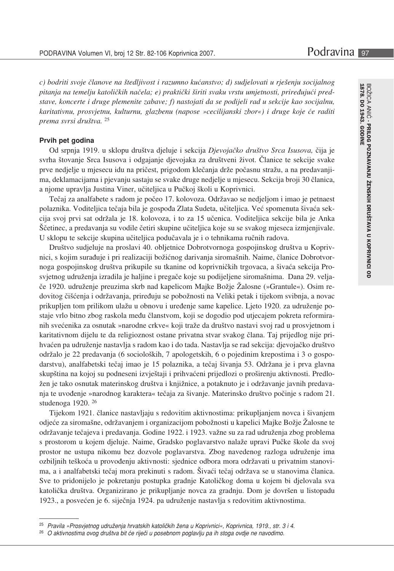c) bodriti svoje članove na štedljivost i razumno kućanstvo; d) sudjelovati u rješenju socijalnog pitanja na temelju katoličkih načela; e) praktički širiti svaku vrstu umjetnosti, priređujući predstave, koncerte i druge plemenite zabave; f) nastojati da se podijeli rad u sekcije kao socijalnu, karitativnu, prosvjetnu, kulturnu, glazbenu (napose »cecilijanski zbor«) i druge koje će raditi prema svrsi društva. <sup>25</sup>

#### Prvih pet godina

Od srpnja 1919. u sklopu društva djeluje i sekcija Djevojačko društvo Srca Isusova, čija je svrha štovanje Srca Isusova i odgajanje djevojaka za društveni život. Članice te sekcije svake prve nedjelje u mjesecu idu na pričest, prigodom klečanja drže počasnu stražu, a na predavanjima, deklamacijama i pjevanju sastaju se svake druge nedjelje u mjesecu. Sekcija broji 30 članica, a njome upravlja Justina Viner, učiteljica u Pučkoj školi u Koprivnici.

Tečaj za analfabete s radom je počeo 17. kolovoza. Održavao se nedjeljom i imao je petnaest polaznika. Voditeljica tečaja bila je gospođa Zlata Sudeta, učiteljica. Već spomenuta šivaća sekcija svoj prvi sat održala je 18. kolovoza, i to za 15 učenica. Voditeljica sekcije bila je Anka Ščetinec, a predavanja su vodile četiri skupine učiteljica koje su se svakog mjeseca izmjenjivale. U sklopu te sekcije skupina učiteljica podučavala je i o tehnikama ručnih radova.

Društvo sudjeluje na proslavi 40. obljetnice Dobrotvornoga gospojinskog društva u Koprivnici, s kojim surađuje i pri realizaciji božićnog darivanja siromašnih. Naime, članice Dobrotvornoga gospojinskog društva prikupile su tkanine od koprivničkih trgovaca, a šivaća sekcija Prosvjetnog udruženja izradila je haljine i pregače koje su podijeljene siromašnima. Dana 29. veljače 1920. udruženje preuzima skrb nad kapelicom Majke Božje Žalosne (»Grantule«). Osim redovitog čišćenja i održavanja, priređuju se pobožnosti na Veliki petak i tijekom svibnja, a novac prikupljen tom prilikom ulažu u obnovu i uređenje same kapelice. Ljeto 1920. za udruženje postaje vrlo bitno zbog raskola među članstvom, koji se dogodio pod utjecajem pokreta reformiranih svećenika za osnutak »narodne crkve« koji traže da društvo nastavi svoj rad u prosvjetnom i karitativnom dijelu te da religioznost ostane privatna stvar svakog člana. Taj prijedlog nije prihvaćen pa udruženje nastavlja s radom kao i do tada. Nastavlja se rad sekcija: djevojačko društvo održalo je 22 predavanja (6 socioloških, 7 apologetskih, 6 o pojedinim krepostima i 3 o gospodarstvu), analfabetski tečaj imao je 15 polaznika, a tečaj šivanja 53. Održana je i prva glavna skupština na kojoj su podneseni izvještaji i prihvaćeni prijedlozi o proširenju aktivnosti. Predložen je tako osnutak materinskog društva i knjižnice, a potaknuto je i održavanje javnih predavanja te uvođenje »narodnog karaktera« tečaja za šivanje. Materinsko društvo počinje s radom 21. studenoga 1920.<sup>26</sup>

Tijekom 1921. članice nastavljaju s redovitim aktivnostima: prikupljanjem novca i šivanjem odjeće za siromašne, održavanjem i organizacijom pobožnosti u kapelici Majke Božje Žalosne te održavanje tečajeva i predavanja. Godine 1922. i 1923. važne su za rad udruženja zbog problema s prostorom u kojem djeluje. Naime, Gradsko poglavarstvo nalaže upravi Pučke škole da svoj prostor ne ustupa nikomu bez dozvole poglavarstva. Zbog navedenog razloga udruženje ima ozbiljnih teškoća u provođenju aktivnosti: sjednice odbora mora održavati u privatnim stanovima, a i analfabetski tečaj mora prekinuti s radom. Šivaći tečaj održava se u stanovima članica. Sve to pridonijelo je pokretanju postupka gradnje Katoličkog doma u kojem bi djelovala sva katolička društva. Organizirano je prikupljanje novca za gradnju. Dom je dovršen u listopadu 1923., a posvećen je 6. siječnja 1924. pa udruženje nastavlja s redovitim aktivnostima.

<sup>&</sup>lt;sup>25</sup> Pravila »Prosvjetnog udruženja hrvatskih katoličkih žena u Koprivnici«, Koprivnica, 1919., str. 3 i 4.

<sup>&</sup>lt;sup>26</sup> O aktivnostima ovog društva bit će riječi u posebnom poglavlju pa ih stoga ovdje ne navodimo.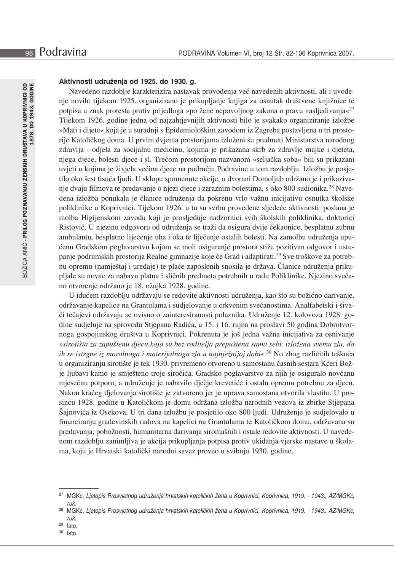## Aktivnosti udruženia od 1925. do 1930. g.

Navedeno razdoblje karakterizira nastavak provođenja već navedenih aktivnosti, ali i uvođenje novih: tijekom 1925. organizirano je prikupljanje knjiga za osnutak društvene knjižnice te potpisa u znak protesta protiv prijedloga »po žene nepovoljnog zakona o pravu nasljeđivanja«<sup>27</sup> Tijekom 1926. godine jedna od najzahtjevnijih aktivnosti bilo je svakako organiziranje izložbe »Mati i dijete« koja je u suradnji s Epidemiološkim zavodom iz Zagreba postavljena u tri prostorije Katoličkog doma. U prvim dvjema prostorijama izloženi su predmeti Ministarstva narodnog zdravlja - odjela za socijalnu medicinu, kojima je prikazana skrb za zdravlje majke i djeteta, njega djece, bolesti djece i sl. Trećom prostorijom nazvanom »seljačka soba« bili su prikazani uvieti u kojima je živjela većina djece na području Podravine u tom razdoblju. Izložbu je posietilo oko šest tisuća ljudi. U sklopu spomenute akcije, u dvorani Domoljub održano je i prikazivanje dvaju filmova te predavanje o njezi djece i zaraznim bolestima, s oko 800 sudionika.<sup>28</sup> Navedena izložba ponukala je članice udruženja da pokrenu vrlo važnu inicijativu osnutka školske poliklinike u Koprivnici. Tijekom 1926. u tu su svrhu provedene sljedeće aktivnosti: poslana je molba Higijenskom zavodu koji je prosljeđuje nadzornici svih školskih poliklinika, doktorici Ristović. U njezinu odgovoru od udruženja se traži da osigura dvije čekaonice, besplatnu zubnu ambulantu, besplatno liječenje uha i oka te liječenje ostalih bolesti. Na zamolbu udruženja upućenu Gradskom poglavarstvu kojom se moli osiguranje prostora stiže pozitivan odgovor i ustupanje podrumskih prostorija Realne gimnazije koje će Grad i adaptirati.<sup>29</sup> Sve troškove za potrebnu opremu (namještaj i uređaje) te plaće zaposlenih snosila je država. Članice udruženja prikupljale su novac za nabavu platna i sličnih predmeta potrebnih u radu Poliklinike. Njezino svečano otvorenje održano je 18. ožujka 1928. godine.

U idućem razdoblju održavaju se redovite aktivnosti udruženja, kao što su božićno darivanje, održavanje kapelice na Grantulama i sudjelovanje u crkvenim svečanostima. Analfabetski i šivaći tečajevi održavaju se ovisno o zainteresiranosti polaznika. Udruženje 12. kolovoza 1928. godine sudjeluje na sprovodu Stjepana Radića, a 15. i 16. rujna na proslavi 50 godina Dobrotvornoga gospojinskog društva u Koprivnici. Pokrenuta je još jedna važna inicijativa za osnivanje »sirotišta za zapuštenu djecu koja su bez roditelja prepuštena sama sebi, izložena svemu zlu, da ih se istrgne iz moralnoga i materijalnoga zla u najnježnijoj dobi«.<sup>30</sup> No zbog različitih teškoća u organiziranju sirotište je tek 1930. privremeno otvoreno u samostanu časnih sestara Kćeri Božje ljubavi kamo je smješteno troje siročića. Gradsko poglavarstvo za njih je osiguralo novčanu mjesečnu potporu, a udruženje je nabavilo dječje krevetiće i ostalu opremu potrebnu za djecu. Nakon kraćeg djelovanja sirotište je zatvoreno jer je uprava samostana otvorila vlastito. U prosincu 1928. godine u Katoličkom je domu održana izložba narodnih vezova iz zbirke Stjepana Šajnovića iz Osekova. U tri dana izložbu je posjetilo oko 800 ljudi. Udruženje je sudjelovalo u financiranju građevinskih radova na kapelici na Grantulama te Katoličkom domu, održavana su predavanja, pobožnosti, humanitarna darivanja siromašnih i ostale redovite aktivnosti. U navedenom razdoblju zanimljiva je akcija prikupljanja potpisa protiv ukidanja vjerske nastave u školama, koju je Hrvatski katolički narodni savez proveo u svibnju 1930. godine.

- 29 Isto.
- 30 Isto.

<sup>27</sup> MGKc, Lietopis Prosvjetnog udruženja hrvatskih katoličkih žena u Koprivnici, Koprivnica, 1919. - 1943., AZ/MGKc, ruk.

<sup>28</sup> MGKc, Ljetopis Prosvjetnog udruženja hrvatskih katoličkih žena u Koprivnici, Koprivnica, 1919. - 1943., AZ/MGKc, ruk.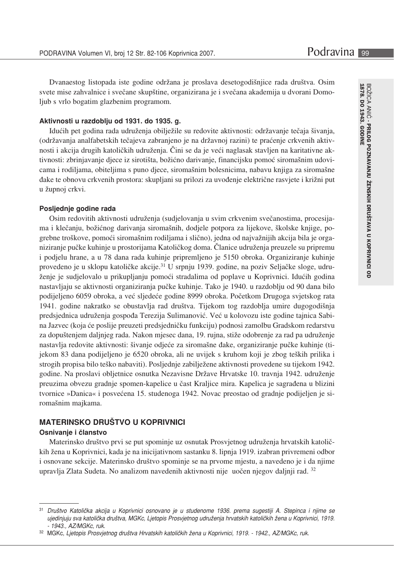Dvanaestog listopada iste godine održana je proslava desetogodišnjice rada društva. Osim svete mise zahvalnice i svečane skupštine, organizirana je i svečana akademija u dvorani Domoljub s vrlo bogatim glazbenim programom.

#### Aktivnosti u razdoblju od 1931. do 1935. g.

Idućih pet godina rada udruženja obilježile su redovite aktivnosti: održavanje tečaja šivanja, (održavanja analfabetskih tečajeva zabranjeno je na državnoj razini) te praćenje crkvenih aktivnosti i akcija drugih katoličkih udruženja. Čini se da je veći naglasak stavljen na karitativne aktivnosti: zbrinjavanje djece iz sirotišta, božićno darivanje, financijsku pomoć siromašnim udovicama i rodiljama, obiteljima s puno djece, siromašnim bolesnicima, nabavu knjiga za siromašne dake te obnovu crkvenih prostora: skupljani su prilozi za uvođenje električne rasvjete i križni put u župnoj crkvi.

#### Posljednje godine rada

Osim redovitih aktivnosti udruženja (sudjelovanja u svim crkvenim svečanostima, procesijama i klečanju, božićnog darivanja siromašnih, dodjele potpora za lijekove, školske knjige, pogrebne troškove, pomoći siromašnim rodiljama i slično), jedna od najvažnijih akcija bila je organiziranje pučke kuhinje u prostorijama Katoličkog doma. Članice udruženja preuzele su pripremu i podjelu hrane, a u 78 dana rada kuhinje pripremljeno je 5150 obroka. Organiziranje kuhinje provedeno je u sklopu katoličke akcije.<sup>31</sup> U srpnju 1939. godine, na poziv Seljačke sloge, udruženje je sudjelovalo u prikupljanju pomoći stradalima od poplave u Koprivnici. Idućih godina nastavljaju se aktivnosti organiziranja pučke kuhinje. Tako je 1940. u razdoblju od 90 dana bilo podijeljeno 6059 obroka, a već sljedeće godine 8999 obroka. Početkom Drugoga svjetskog rata 1941. godine nakratko se obustavlja rad društva. Tijekom tog razdoblja umire dugogodišnja predsjednica udruženja gospođa Terezija Sulimanović. Već u kolovozu iste godine tajnica Sabina Jazvec (koja će poslije preuzeti predsjedničku funkciju) podnosi zamolbu Gradskom redarstvu za dopuštenjem daljnjeg rada. Nakon mjesec dana, 19. rujna, stiže odobrenje za rad pa udruženje nastavlja redovite aktivnosti: šivanje odjeće za siromašne đake, organiziranje pučke kuhinje (tijekom 83 dana podijeljeno je 6520 obroka, ali ne uvijek s kruhom koji je zbog teških prilika i strogih propisa bilo teško nabaviti). Posljednje zabilježene aktivnosti provedene su tijekom 1942. godine. Na proslavi obljetnice osnutka Nezavisne Države Hrvatske 10. travnja 1942. udruženje preuzima obvezu gradnje spomen-kapelice u čast Kraljice mira. Kapelica je sagrađena u blizini tvornice »Danica« i posvećena 15. studenoga 1942. Novac preostao od gradnje podijeljen je siromašnim majkama.

# **MATERINSKO DRUŠTVO U KOPRIVNICI**

# Osnivanje i članstvo

Materinsko društvo prvi se put spominje uz osnutak Prosvjetnog udruženja hrvatskih katoličkih žena u Koprivnici, kada je na inicijativnom sastanku 8. lipnja 1919. izabran privremeni odbor i osnovane sekcije. Materinsko društvo spominje se na prvome mjestu, a navedeno je i da njime upravlja Zlata Sudeta. No analizom navedenih aktivnosti nije uočen njegov daljnji rad. 32

 $31$ Društvo Katolička akcija u Koprivnici osnovano je u studenome 1936. prema sugestiji A. Stepinca i njime se ujedinjuju sva katolička društva, MGKc, Ljetopis Prosvjetnog udruženja hrvatskih katoličkih žena u Koprivnici, 1919. - 1943., AZ/MGKc, ruk.

<sup>32</sup> MGKc, Ljetopis Prosvjetnog društva Hrvatskih katoličkih žena u Koprivnici, 1919. - 1942., AZ/MGKc, ruk.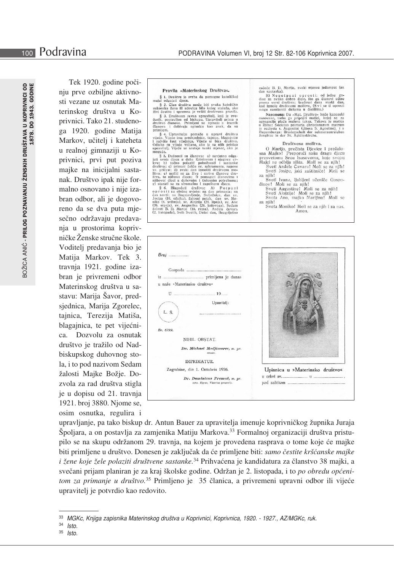BOŽICA ANIĆ - PRILOG POZNAVANJU ŽENSKIH DRUŠTAVA U KOPRIVNICI OD<br>1878. DO 1943. GODINE

Tek 1920. godine počiniu prve ozbiline aktivnosti vezane uz osnutak Materinskog društva u Koprivnici. Tako 21. studenoga 1920. godine Matija Markov, učitelj i kateheta u realnoj gimnaziji u Koprivnici, prvi put poziva majke na inicijalni sastanak. Društvo ipak nije formalno osnovano i nije izabran odbor, ali je dogovoreno da se dva puta mjesečno održavaju predavanja u prostorima koprivničke Ženske stručne škole. Voditelj predavanja bio je Matija Markov. Tek 3. travnja 1921. godine izabran je privremeni odbor Materinskog društva u sastavu: Marija Šavor, predsjednica, Marija Zgorelec, tajnica, Terezija Matiša, blagajnica, te pet vijećnica. Dozvolu za osnutak društvo je tražilo od Nadbiskupskog duhovnog stola, i to pod nazivom Sedam žalosti Majke Božje. Dozvola za rad društva stigla je u dopisu od 21. travnja 1921. broj 3880. Njome se, osim osnutka, regulira i

#### Pravila »Materinskog Društva«.

Fratrum Suraternustary Drustvac, a Drustvac, a Drustvac, a Drustvac, a primar Suraternus (S. Clan drustvac može biti svaka katoličkoj za Sala drustvac premier svih društvac za predstavanje političkoj i specificarski društv

elanova i dobivaju upisnicu kao znak, da su<br>
elanova i dobivaju upisnicu kao znak, da su<br>
primele, Vijeće ima predsjednicu, tajnicu, blagajnicu<br>
vijeće koji sest vijećenica. Vijeće si bira društvo.<br>
Odluke su viječa valjan

začeće B. D. Marije, svaki mjesec jedamput (na dan sastanka).<br>B) Ne po t pu ni oprosti: od jedne godine za svako dobro djelo, što ga članovi učine prema svrsi društva: Sezdeset dana svaki dan, kad izmole društvanu molitvu

mogu nampenu ausana u casuasu.<br>
Napomena: Da »Mat. Društvo« bude kanonski<br>
osnovano, treba ga pripojiti matici, koloj se za<br>
agregaciju jalca malena taksa. Takova je matica<br>
u Rimu: Societas primaria christianarum matrum<br>

#### Društvena molitva.

**Drugio, prečista Djevice i prežalo-**<br>Sna Majko! Preportuči našu dragu djecu<br>presvetomu Srcu Isusovomu, koje svojoj<br>Majci ne odbija ništa. Moli se za njih!<br>Sveti Anđele Čuvaru! Moli se za njih!<br>Sveti Josipe, jaki zaštitnič

- za njih!
- 
- za njih!<br>
silih!<br>
Sveti Ivane, ljubljeni učeniče Gospodinov! Moli se za njih!<br>
Sveti Alogzije! Moli se za njih!<br>
Sveti Alogzije! Moli se za njih!<br>
Sveta Ano, majko Marijina! Moli se za njih!
- Sveta Moniko! Moli se za njih i za nas. Amen.

| Broj                                                             |                                 |
|------------------------------------------------------------------|---------------------------------|
|                                                                  |                                 |
|                                                                  |                                 |
| u naše »Materinsko društvo«                                      |                                 |
| $U$ $19$                                                         |                                 |
| Upravitelj:                                                      |                                 |
| L. S.                                                            |                                 |
|                                                                  |                                 |
| Br. 6799.                                                        |                                 |
| NIHIL OBSTAT.                                                    |                                 |
| Dr. Michael Medjimorec, m. pr.<br>censor,                        |                                 |
| IMPRIMATUR.                                                      |                                 |
| Zagrabiae, die 1. Octobris 1926.                                 | Upisnica u »Materinsko društvo« |
| Dr. Dominicus Premuš, m. pr.<br>cons. Eppus, Vicarius generalis. |                                 |
|                                                                  |                                 |
|                                                                  |                                 |

upravljanje, pa tako biskup dr. Antun Bauer za upravitelja imenuje koprivničkog župnika Juraja Špoljara, a on postavlja za zamjenika Matiju Markova.<sup>33</sup> Formalnoj organizaciji društva pristupilo se na skupu održanom 29. travnja, na kojem je provedena rasprava o tome koje će majke biti primljene u društvo. Donesen je zaključak da će primljene biti: samo čestite kršćanske majke i žene koje žele polaziti društvene sastanke.<sup>34</sup> Prihvaćena je kandidatura za članstvo 38 majki, a svečani prijam planiran je za kraj školske godine. Održan je 2. listopada, i to po obredu općenitom za primanje u društvo.<sup>35</sup> Primljeno je 35 članica, a privremeni upravni odbor ili vijeće upraviteli je potvrdio kao redovito.

 $35$  Isto.

<sup>33</sup> MGKc, Knjiga zapisnika Materinskog društva u Koprivnici, Koprivnica, 1920. - 1927., AZ/MGKc, ruk.

 $34$  Isto.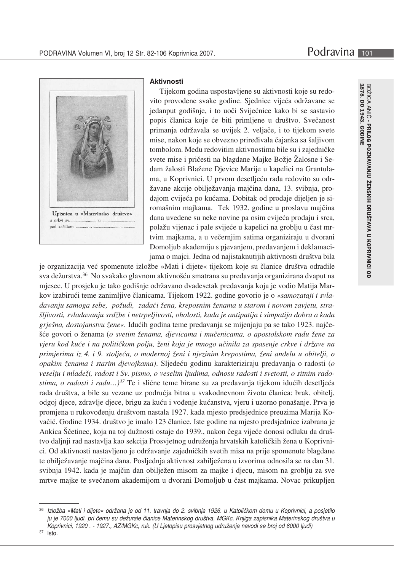

#### **Aktivnosti**

Tijekom godina uspostavljene su aktivnosti koje su redovito provođene svake godine. Sjednice vijeća održavane se jedanput godišnje, i to uoči Svijećnice kako bi se sastavio popis članica koje će biti primljene u društvo. Svečanost primanja održavala se uvijek 2. veljače, i to tijekom svete mise, nakon koje se obvezno priređivala čajanka sa šaljivom tombolom. Među redovitim aktivnostima bile su i zajedničke svete mise i pričesti na blagdane Majke Božje Žalosne i Sedam žalosti Blažene Dievice Marije u kapelici na Grantulama, u Koprivnici. U prvom desetljeću rada redovito su održavane akcije obilježavanja majčina dana, 13. svibnja, prodajom cvijeća po kućama. Dobitak od prodaje dijeljen je siromašnim majkama. Tek 1932. godine u proslavu majčina dana uvedene su neke novine pa osim cvijeća prodaju i srca, polažu vijenac i pale svijeće u kapelici na groblju u čast mrtvim majkama, a u večernjim satima organiziraju u dvorani Domoljub akademiju s pjevanjem, predavanjem i deklamacijama o majci. Jedna od najistaknutijih aktivnosti društva bila

je organizacija već spomenute izložbe »Mati i dijete« tijekom koje su članice društva odradile sva dežurstva.<sup>36</sup> No svakako glavnom aktivnošću smatrana su predavanja organizirana dvaput na mjesec. U prosjeku je tako godišnje održavano dvadesetak predavanja koja je vodio Matija Markov izabirući teme zanimljive članicama. Tijekom 1922. godine govorio je o »samozataji i svladavanju samoga sebe, požudi, zadaći žena, kreposnim ženama u starom i novom zavjetu, strašljivosti, svladavanju srdžbe i netrpeljivosti, oholosti, kada je antipatija i simpatija dobra a kada griešna, dostojanstvu žene«. Idućih godina teme predavanja se mijenjaju pa se tako 1923. najčešće govori o ženama (o svetim ženama, djevicama i mučenicama, o apostolskom radu žene za vjeru kod kuće i na političkom polju, ženi koja je mnogo učinila za spasenje crkve i države na primjerima iz 4. i 9. stoljeća, o modernoj ženi i njezinim krepostima, ženi anđelu u obitelji, o opakim ženama i starim djevojkama). Sljedeću godinu karakteriziraju predavanja o radosti (o veselju i mladeži, radost i Sv. pismo, o veselim ljudima, odnosu radosti i svetosti, o sitnim radostima, o radosti i radu...)<sup>37</sup> Te i slične teme birane su za predavanja tijekom idućih desetljeća rada društva, a bile su vezane uz područja bitna u svakodnevnom životu članica: brak, obitelj, odgoj djece, zdravlje djece, brigu za kuću i vođenje kućanstva, vjeru i uzorno ponašanje. Prva je promjena u rukovođenju društvom nastala 1927. kada mjesto predsjednice preuzima Marija Kovačić. Godine 1934. društvo je imalo 123 članice. Iste godine na mjesto predsjednice izabrana je Ankica Ščetinec, koja na toj dužnosti ostaje do 1939., nakon čega vijeće donosi odluku da društvo daljnji rad nastavlja kao sekcija Prosvjetnog udruženja hrvatskih katoličkih žena u Koprivnici. Od aktivnosti nastavljeno je održavanje zajedničkih svetih misa na prije spomenute blagdane te obilježavanje majčina dana. Posljednja aktivnost zabilježena u izvorima odnosila se na dan 31. svibnja 1942. kada je majčin dan obilježen misom za majke i djecu, misom na groblju za sve mrtve majke te svečanom akademijom u dvorani Domoljub u čast majkama. Novac prikupljen

Izložba »Mati i dijete« održana je od 11. travnja do 2. svibnja 1926. u Katoličkom domu u Koprivnici, a posjetilo ju je 7000 ljudi, pri čemu su dežurale članice Materinskog društva, MGKc, Knjiga zapisnika Materinskog društva u Koprivnici, 1920. - 1927., AZ/MGKc, ruk. (U Ljetopisu prosvjetnog udruženja navodi se broj od 6000 ljudi)

 $37$  Isto.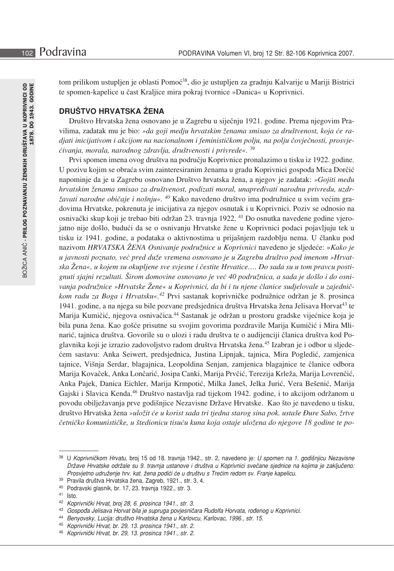tom prilikom ustupljen je oblasti Pomoć<sup>38</sup>, dio je ustupljen za gradnju Kalvarije u Mariji Bistrici te spomen-kapelice u čast Kralijce mira pokraj tvornice »Danica« u Koprivnici.

# **DRUŠTVO HRVATSKA ŽENA**

Društvo Hrvatska žena osnovano je u Zagrebu u siječnju 1921. godine. Prema njegovim Pravilima, zadatak mu je bio: »da goji medju hrvatskim ženama smisao za društvenost, koja će radjati inicijativom i akcijom na nacionalnom i feminističkom polju, na polju čovječnosti, prosvjećivanja, morala, narodnog zdravlja, društvenosti i privrede«. 39

Prvi spomen imena ovog društva na području Koprivnice pronalazimo u tisku iz 1922. godine. U pozivu kojim se obraća svim zainteresiranim ženama u gradu Koprivnici gospođa Mica Dorčić napominje da je u Zagrebu osnovano Društvo hrvatska žena, a njegov je zadatak: »Gojiti među hrvatskim ženama smisao za društvenost, podizati moral, unapređivati narodnu privredu, uzdržavati narodne običaje i nošnju«. <sup>40</sup> Kako navedeno društvo ima podružnice u svim većim gradovima Hrvatske, pokrenuta je inicijativa za njegov osnutak i u Koprivnici. Poziv se odnosio na osnivački skup koji je trebao biti održan 23. travnja 1922. <sup>41</sup> Do osnutka navedene godine vjerojatno nije došlo, budući da se o osnivanju Hrvatske žene u Koprivnici podaci pojavljuju tek u tisku iz 1941. godine, a podataka o aktivnostima u prijašnjem razdoblju nema. U članku pod nazivom HRVATSKA ŽENA Osnivanje podružnice u Koprivnici navedeno je sljedeće: »Kako je u javnosti poznato, već pred duže vremena osnovano je u Zagrebu društvo pod imenom »Hrvatska Žena«, u kojem su okupljene sve svjesne i čestite Hrvatice.... Do sada su u tom pravcu postignuti sjajni rezultati. Širom domovine osnovano je već 40 podružnica, a sada je došlo i do osnivanja podružnice »Hrvatske Žene« u Koprivnici, da bi i tu njene članice sudjelovale u zajedničkom radu za Boga i Hrvatsku«.<sup>42</sup> Prvi sastanak koprivničke podružnice održan je 8. prosinca 1941. godine, a na njega su bile pozvane predsjednica društva Hrvatska žena Jelisava Horvat<sup>43</sup> te Marija Kumičić, njegova osnivačica.<sup>44</sup> Sastanak je održan u prostoru gradske vijećnice koja je bila puna žena. Kao gošće prisutne su svojim govorima pozdravile Marija Kumičić i Mira Mlinarić, tajnica društva. Govorile su o ulozi i radu društva te o audijenciji članica društva kod Poglavnika koji je izrazio zadovoljstvo radom društva Hrvatska žena.<sup>45</sup> Izabran je i odbor u sljedećem sastavu: Anka Seiwert, predsjednica, Justina Lipnjak, tajnica, Mira Pogledić, zamjenica tajnice, Višnja Serdar, blagajnica, Leopoldina Senjan, zamjenica blagajnice te članice odbora Marija Kovaček, Anka Lončarić, Josipa Canki, Marija Prvčić, Terezija Krleža, Marija Lovrenčić, Anka Pajek, Danica Eichler, Marija Krmpotić, Milka Janeš, Jelka Jurić, Vera Bešenić, Marija Gajski i Slavica Kenda.<sup>46</sup> Društvo nastavlja rad tijekom 1942. godine, i to akcijom održanom u povodu obilježavanja prve godišnjice Nezavisne Države Hrvatske. Kao što je navedeno u tisku, društvo Hrvatska žena »uložit će u korist sada tri tjedna starog sina pok. ustaše Đure Sabo, žrtve četničko komunističke, u štedionicu tisuću kuna koja ostaje uložena do njegove 18 godine te po-

<sup>38</sup> U Koprivničkom Hrvatu, broj 15 od 18. travnja 1942., str. 2, navedeno je: U spomen na 1. godišnjicu Nezavisne Države Hrvatske održale su 9. travnja ustanove i društva u Koprivnici svečane sjednice na kojima je zaključeno: Prosvjetno udruženje hrv. kat. žena podići će u društvu s Trećim redom sv. Franje kapelicu.

<sup>39</sup> Pravila društva Hrvatska žena, Zagreb, 1921., str. 3, 4.

<sup>&</sup>lt;sup>40</sup> Podravski glasnik, br. 17, 23. travnja 1922., str. 3.

 $41$  Isto.

<sup>42</sup> Koprivnički Hrvat, broj 28, 6. prosinca 1941., str. 3.

<sup>43</sup> Gospođa Jelisava Horvat bila je supruga povjesničara Rudolfa Horvata, rođenog u Koprivnici.

<sup>44</sup> Benyovsky, Lucija: društvo Hrvatska žena u Karlovcu, Karlovac, 1996., str. 15.

<sup>45</sup> Koprivnički Hrvat, br. 29, 13. prosinca 1941., str. 2.

<sup>46</sup> Koprivnički Hrvat, br. 29, 13. prosinca 1941., str. 2.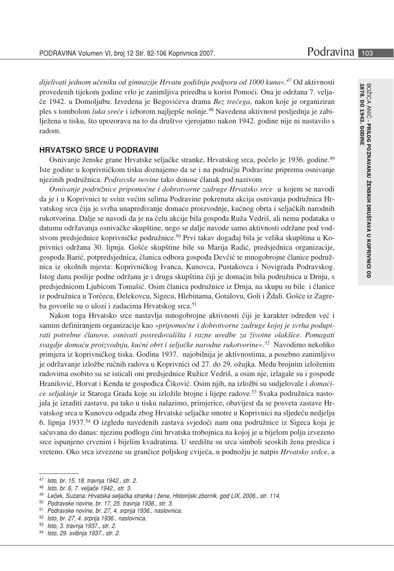dijelivati jednom učeniku od gimnazije Hrvatu godišnju podporu od 1000 kuna«.<sup>47</sup> Od aktivnosti provedenih tijekom godine vrlo je zanimljiva priredba u korist Pomoći. Ona je održana 7. veljače 1942. u Domoljubu. Izvedena je Begovićeva drama Bez trećega, nakon koje je organiziran ples s tombolom luka sreće i izborom najljepše nošnje.<sup>48</sup> Navedena aktivnost posljednja je zabilježena u tisku, što upozorava na to da društvo vjerojatno nakon 1942. godine nije ni nastavilo s radom.

#### **HRVATSKO SRCE U PODRAVINI**

Osnivanje ženske grane Hrvatske seljačke stranke, Hrvatskog srca, počelo je 1936. godine.<sup>49</sup> Iste godine u koprivničkom tisku doznajemo da se i na području Podravine priprema osnivanje njezinih podružnica. Podravske novine tako donose članak pod nazivom

Osnivanje podružnice pripomoćne i dobrotvorne zadruge Hrvatsko srce u kojem se navodi da je i u Koprivnici te svim većim selima Podravine pokrenuta akcija osnivanja podružnica Hrvatskog srca čija je svrha unapređivanje domaće proizvodnje, kućnog obrta i seljačkih narodnih rukotvorina. Dalje se navodi da je na čelu akcije bila gospođa Ruža Vedriš, ali nema podataka o datumu održavanja osnivačke skupštine, nego se dalje navode samo aktivnosti održane pod vodstvom predsjednice koprivničke podružnice.<sup>50</sup> Prvi takav događaj bila je velika skupština u Koprivnici održana 30. lipnja. Gošće skupštine bile su Marija Radić, predsjednica organizacije, gospođa Barić, potpredsjednica, članica odbora gospođa Devčić te mnogobrojne članice podružnica iz okolnih mjesta: Koprivničkog Ivanca, Kunovca, Pustakovca i Novigrada Podravskog. Istog dana poslije podne održana je i druga skupština čiji je domaćin bila podružnica u Drnju, s predsjednicom Ljubicom Tomašić. Osim članica podružnice iz Drnja, na skupu su bile i članice iz podružnica u Torčecu, Đelekovcu, Sigecu, Hlebinama, Gotalovu, Goli i Ždali. Gošće iz Zagreba govorile su o ulozi i zadacima Hrvatskog srca.<sup>51</sup>

Nakon toga Hrvatsko srce nastavlja mnogobrojne aktivnosti čiji je karakter određen već i samim definiranjem organizacije kao »pripomoćne i dobrotvorne zadruge kojoj je svrha podupirati potrebne članove, osnivati posredovališta i razne uredbe za životne olakšice. Pomagati svagdje domaću proizvodnju, kućni obrt i seljačke narodne rukotvorine«.<sup>52</sup> Navodimo nekoliko primjera iz koprivničkog tiska. Godina 1937. najobilnija je aktivnostima, a posebno zanimljivo je održavanje izložbe ručnih radova u Koprivnici od 27. do 29. ožujka. Među brojnim izloženim radovima osobito su se isticali oni predsjednice Ružice Vedriš, a osim nje, izlagale su i gospođe Hranilović, Horvat i Kenda te gospođica Čiković. Osim njih, na izložbi su sudjelovale i domaćice seljakinje iz Staroga Grada koje su izložile brojne i lijepe radove.<sup>53</sup> Svaka podružnica nastojala je izraditi zastavu, pa tako u tisku nalazimo, primjerice, obavijest da se posveta zastave Hrvatskog srca u Kunovcu odgađa zbog Hrvatske seljačke smotre u Koprivnici na sljedeću nedjelju 6. lipnja 1937.<sup>54</sup> O izgledu navedenih zastava svjedoči nam ona podružnice iz Sigeca koja je sačuvana do danas: njezinu podlogu čini hrvatska trobojnica na kojoj je u bijelom polju izvezeno srce ispunjeno crvenim i bijelim kvadratima. U središtu su srca simboli seoskih žena preslica i vreteno. Oko srca izvezene su grančice poljskog cvijeća, u podnožju je natpis Hrvatsko srdce, a

- 52 Isto, br. 27, 4. srpnja 1936., naslovnica.
- 53 Isto, 3. travnja 1937., str. 2.

<sup>47</sup> Isto, br. 15, 18. travnja 1942., str. 2.

<sup>48</sup> Isto, br. 6, 7. veljače 1942., str. 3.

<sup>49</sup> Leček, Suzana: Hrvatska seljačka stranka i žene, Historijski zbornik, god LIX, 2006., str. 114.

<sup>50</sup> Podravske novine, br. 17, 25. travnja 1936., str. 3.

<sup>51</sup> Podravske novine, br. 27, 4. srpnja 1936., naslovnica.

<sup>54</sup> Isto, 29. svibnja 1937., str. 2.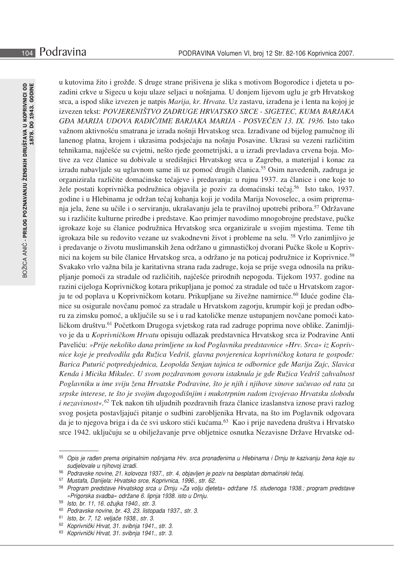u kutovima žito i grožđe. S druge strane prišivena je slika s motivom Bogorodice i djeteta u pozadini crkve u Sigecu u koju ulaze seljaci u nošnjama. U donjem lijevom uglu je grb Hrvatskog srca, a ispod slike izvezen je natpis Marija, kr. Hrvata. Uz zastavu, izrađena je i lenta na kojoj je izvezen tekst: POVJERENIŠTVO ZADRUGE HRVATSKO SRCE - SIGETEC, KUMA BARJAKA GĐA MARIJA UDOVA RADIĆ/IME BARJAKA MARIJA - POSVEĆEN 13. IX. 1936. Isto tako važnom aktivnošću smatrana je izrada nošnji Hrvatskog srca. Izrađivane od bijelog pamučnog ili lanenog platna, krojem i ukrasima podsjećaju na nošnju Posavine. Ukrasi su vezeni različitim tehnikama, najčešće su cvjetni, nešto rjeđe geometrijski, a u izradi prevladava crvena boja. Motive za vez članice su dobivale u središnjici Hrvatskog srca u Zagrebu, a materijal i konac za izradu nabavljale su uglavnom same ili uz pomoć drugih članica.<sup>55</sup> Osim navedenih, zadruga je organizirala različite domaćinske tečajeve i predavanja: u rujnu 1937. za članice i one koje to žele postati koprivnička podružnica objavila je poziv za domaćinski tečaj.<sup>56</sup> Isto tako, 1937. godine i u Hlebinama je održan tečaj kuhanja koji je vodila Marija Novoselec, a osim pripremanja jela, žene su učile i o serviranju, ukrašavanju jela te pravilnoj upotrebi pribora.<sup>57</sup> Održavane su i različite kulturne priredbe i predstave. Kao primjer navodimo mnogobrojne predstave, pučke igrokaze koje su članice podružnica Hrvatskog srca organizirale u svojim mjestima. Teme tih igrokaza bile su redovito vezane uz svakodnevni život i probleme na selu. <sup>58</sup> Vrlo zanimljivo je i predavanje o životu muslimanskih žena održano u gimnastičkoj dvorani Pučke škole u Koprivnici na kojem su bile članice Hrvatskog srca, a održano je na poticaj podružnice iz Koprivnice.<sup>59</sup> Svakako vrlo važna bila je karitativna strana rada zadruge, koja se prije svega odnosila na prikupljanje pomoći za stradale od različitih, najčešće prirodnih nepogoda. Tijekom 1937. godine na razini cijeloga Koprivničkog kotara prikupljana je pomoć za stradale od tuče u Hrvatskom zagorju te od poplava u Koprivničkom kotaru. Prikupljane su živežne namirnice.<sup>60</sup> Iduće godine članice su osigurale novčanu pomoć za stradale u Hrvatskom zagorju, krumpir koji je predan odboru za zimsku pomoć, a uključile su se i u rad katoličke menze ustupanjem novčane pomoći katoličkom društvu.<sup>61</sup> Početkom Drugoga svjetskog rata rad zadruge poprima nove oblike. Zanimljivo je da u Koprivničkom Hrvatu opisuju odlazak predstavnica Hrvatskog srca iz Podravine Anti Paveliću: »Prije nekoliko dana primljene su kod Poglavnika predstavnice »Hrv. Srca« iz Koprivnice koje je predvodila gda Ružica Vedriš, glavna povjerenica koprivničkog kotara te gospođe: Barica Puturić potpredsjednica, Leopolda Senjan tajnica te odbornice gđe Marija Zajc, Slavica Kenda i Micika Mikulec. U svom pozdravnom govoru istaknula je gđe Ružica Vedriš zahvalnost Poglavniku u ime sviju žena Hrvatske Podravine, što je njih i njihove sinove sačuvao od rata za srpske interese, te što je svojim dugogodišnjim i mukotrpnim radom izvojevao Hrvatsku slobodu *i nezavisnost«.*<sup>62</sup> Tek nakon tih uljudnih pozdravnih fraza članice izaslanstva iznose pravi razlog svog posjeta postavljajući pitanje o sudbini zarobljenika Hrvata, na što im Poglavnik odgovara da je to njegova briga i da će svi uskoro stići kućama.<sup>63</sup> Kao i prije navedena društva i Hrvatsko srce 1942. uključuju se u obilježavanje prve obljetnice osnutka Nezavisne Države Hrvatske od-

<sup>55</sup> Opis je rađen prema originalnim nošnjama Hrv. srca pronađenima u Hlebinama i Drnju te kazivanju žena koje su sudjelovale u njihovoj izradi.

<sup>56</sup> Podravske novine, 21. kolovoza 1937., str. 4, objavljen je poziv na besplatan domaćinski tečaj.

<sup>57</sup> Mustafa, Danijela: Hrvatsko srce, Koprivnica, 1996., str. 62.

<sup>58</sup> Program predstave Hrvatskog srca u Drnju »Za volju djeteta« održane 15. studenoga 1938.; program predstave »Prigorska svadba« održane 6. lipnja 1938. isto u Drnju.

<sup>59</sup> Isto, br. 11, 16. ožujka 1940., str. 3.

<sup>60</sup> Podravske novine, br. 43, 23. listopada 1937., str. 3.

Isto, br. 7, 12. veljače 1938., str. 3. 61

<sup>62</sup> Koprivnički Hrvat, 31. svibnja 1941., str. 3.

<sup>63</sup> Koprivnički Hrvat, 31. svibnja 1941., str. 3.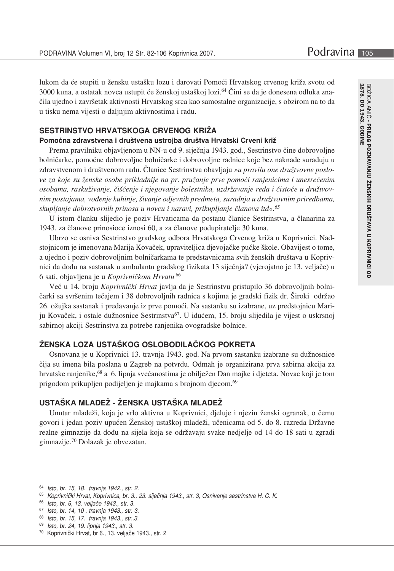lukom da će stupiti u žensku ustašku lozu i darovati Pomoći Hrvatskog crvenog križa svotu od 3000 kuna, a ostatak novca ustupit će ženskoj ustaškoj lozi.<sup>64</sup> Čini se da je donesena odluka značila ujedno i završetak aktivnosti Hrvatskog srca kao samostalne organizacije, s obzirom na to da u tisku nema vijesti o daljnjim aktivnostima i radu.

# SESTRINSTVO HRVATSKOGA CRVENOG KRIŽA

#### Pomoćna zdravstvena i društvena ustrojba društva Hrvatski Crveni križ

Prema pravilniku objavljenom u NN-u od 9. siječnja 1943. god., Sestrinstvo čine dobrovoljne bolničarke, pomoćne dobrovoljne bolničarke i dobrovoljne radnice koje bez naknade surađuju u zdravstvenom i društvenom radu. Članice Sestrinstva obavljaju »u pravilu one družtvovne poslove za koje su ženske osobe prikladnije na pr. pružanje prve pomoći ranjenicima i unesrećenim osobama, raskuživanje, čišćenje i njegovanje bolestnika, uzdržavanje reda i čistoće u družtvovnim postajama, vođenje kuhinje, šivanje odjevnih predmeta, suradnja u družtvovnim priredbama, skupljanje dobrotvornih prinosa u novcu i naravi, prikupljanje članova itd«.<sup>65</sup>

U istom članku slijedio je poziv Hrvaticama da postanu članice Sestrinstva, a članarina za 1943. za članove prinosioce iznosi 60, a za članove podupiratelje 30 kuna.

Ubrzo se osniva Sestrinstvo gradskog odbora Hrvatskoga Crvenog križa u Koprivnici. Nadstojnicom je imenovana Marija Kovaček, upraviteljica djevojačke pučke škole. Obavijest o tome, a ujedno i poziv dobrovoljnim bolničarkama te predstavnicama svih ženskih društava u Koprivnici da dođu na sastanak u ambulantu gradskog fizikata 13 siječnja? (vjerojatno je 13. veljače) u 6 sati, objavljena je u Koprivničkom Hrvatu.<sup>66</sup>

Već u 14. broju Koprivnički Hrvat javlja da je Sestrinstvu pristupilo 36 dobrovoljnih bolničarki sa svršenim tečajem i 38 dobrovoljnih radnica s kojima je gradski fizik dr. Široki održao 26. ožujka sastanak i predavanje iz prve pomoći. Na sastanku su izabrane, uz predstojnicu Mariju Kovaček, i ostale dužnosnice Sestrinstva<sup>67</sup>. U idućem, 15. broju slijedila je vijest o uskrsnoj sabirnoj akciji Sestrinstva za potrebe ranjenika ovogradske bolnice.

#### ŽENSKA LOZA USTAŠKOG OSLOBODILAČKOG POKRETA

Osnovana je u Koprivnici 13. travnja 1943. god. Na prvom sastanku izabrane su dužnosnice čija su imena bila poslana u Zagreb na potvrdu. Odmah je organizirana prva sabirna akcija za hrvatske ranjenike,<sup>68</sup> a 6. lipnja svečanostima je obilježen Dan majke i djeteta. Novac koji je tom prigodom prikupljen podijeljen je majkama s brojnom djecom.<sup>69</sup>

# USTAŠKA MLADEŽ - ŽENSKA USTAŠKA MLADEŽ

Unutar mladeži, koja je vrlo aktivna u Koprivnici, djeluje i njezin ženski ogranak, o čemu govori i jedan poziv upućen Ženskoj ustaškoj mladeži, učenicama od 5. do 8. razreda Državne realne gimnazije da dođu na sijela koja se održavaju svake nedjelje od 14 do 18 sati u zgradi gimnazije.<sup>70</sup> Dolazak je obvezatan.

<sup>64</sup> Isto, br. 15, 18. travnja 1942., str. 2.

<sup>65</sup> Koprivnički Hrvat, Koprivnica, br. 3., 23. siječnja 1943., str. 3, Osnivanje sestrinstva H. C. K.

<sup>66</sup> Isto, br. 6, 13. veljače 1943., str. 3.

<sup>67</sup> Isto, br. 14, 10. travnja 1943., str. 3.

<sup>68</sup> Isto, br. 15, 17. travnja 1943., str..3.

<sup>69</sup> Isto, br. 24, 19. lipnja 1943., str. 3.

<sup>&</sup>lt;sup>70</sup> Koprivnički Hrvat, br 6., 13. veljače 1943., str. 2